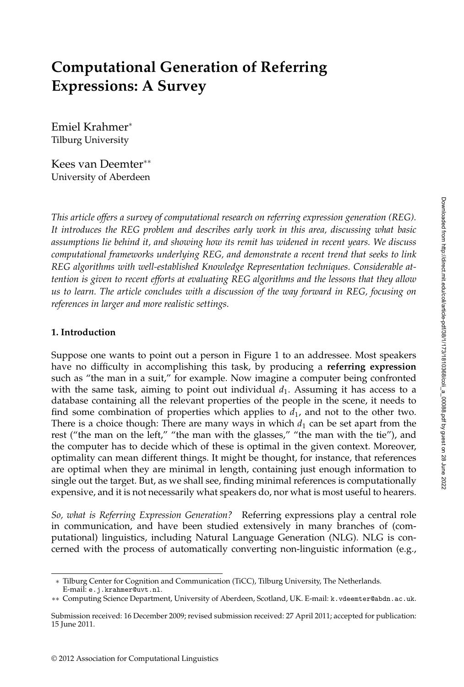# **Computational Generation of Referring Expressions: A Survey**

Emiel Krahmer<sup>∗</sup> Tilburg University

Kees van Deemter∗∗ University of Aberdeen

*This article offers a survey of computational research on referring expression generation (REG). It introduces the REG problem and describes early work in this area, discussing what basic assumptions lie behind it, and showing how its remit has widened in recent years. We discuss computational frameworks underlying REG, and demonstrate a recent trend that seeks to link REG algorithms with well-established Knowledge Representation techniques. Considerable attention is given to recent efforts at evaluating REG algorithms and the lessons that they allow us to learn. The article concludes with a discussion of the way forward in REG, focusing on references in larger and more realistic settings.*

#### **1. Introduction**

Suppose one wants to point out a person in Figure 1 to an addressee. Most speakers have no difficulty in accomplishing this task, by producing a **referring expression** such as "the man in a suit," for example. Now imagine a computer being confronted with the same task, aiming to point out individual  $d_1$ . Assuming it has access to a database containing all the relevant properties of the people in the scene, it needs to find some combination of properties which applies to  $d_1$ , and not to the other two. There is a choice though: There are many ways in which  $d_1$  can be set apart from the rest ("the man on the left," "the man with the glasses," "the man with the tie"), and the computer has to decide which of these is optimal in the given context. Moreover, optimality can mean different things. It might be thought, for instance, that references are optimal when they are minimal in length, containing just enough information to single out the target. But, as we shall see, finding minimal references is computationally expensive, and it is not necessarily what speakers do, nor what is most useful to hearers.

*So, what is Referring Expression Generation?* Referring expressions play a central role in communication, and have been studied extensively in many branches of (computational) linguistics, including Natural Language Generation (NLG). NLG is concerned with the process of automatically converting non-linguistic information (e.g.,

<sup>∗</sup> Tilburg Center for Cognition and Communication (TiCC), Tilburg University, The Netherlands. E-mail: e.j.krahmer@uvt.nl.

<sup>∗∗</sup> Computing Science Department, University of Aberdeen, Scotland, UK. E-mail: k.vdeemter@abdn.ac.uk.

Submission received: 16 December 2009; revised submission received: 27 April 2011; accepted for publication: 15 June 2011.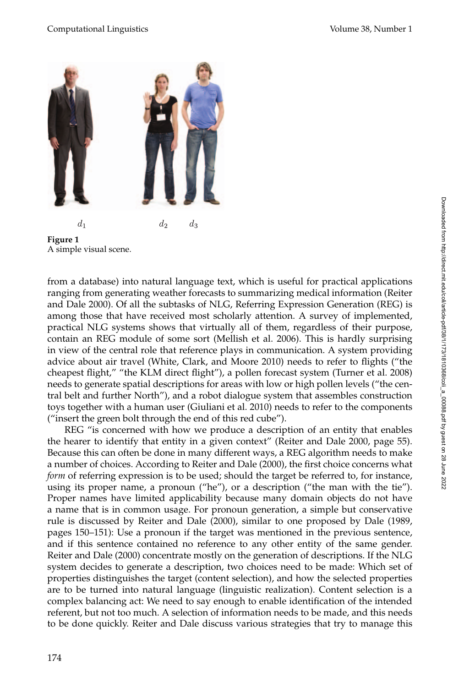

**Figure 1** A simple visual scene.

from a database) into natural language text, which is useful for practical applications ranging from generating weather forecasts to summarizing medical information (Reiter and Dale 2000). Of all the subtasks of NLG, Referring Expression Generation (REG) is among those that have received most scholarly attention. A survey of implemented, practical NLG systems shows that virtually all of them, regardless of their purpose, contain an REG module of some sort (Mellish et al. 2006). This is hardly surprising in view of the central role that reference plays in communication. A system providing advice about air travel (White, Clark, and Moore 2010) needs to refer to flights ("the cheapest flight," "the KLM direct flight"), a pollen forecast system (Turner et al. 2008) needs to generate spatial descriptions for areas with low or high pollen levels ("the central belt and further North"), and a robot dialogue system that assembles construction toys together with a human user (Giuliani et al. 2010) needs to refer to the components ("insert the green bolt through the end of this red cube").

REG "is concerned with how we produce a description of an entity that enables the hearer to identify that entity in a given context" (Reiter and Dale 2000, page 55). Because this can often be done in many different ways, a REG algorithm needs to make a number of choices. According to Reiter and Dale (2000), the first choice concerns what *form* of referring expression is to be used; should the target be referred to, for instance, using its proper name, a pronoun ("he"), or a description ("the man with the tie"). Proper names have limited applicability because many domain objects do not have a name that is in common usage. For pronoun generation, a simple but conservative rule is discussed by Reiter and Dale (2000), similar to one proposed by Dale (1989, pages 150–151): Use a pronoun if the target was mentioned in the previous sentence, and if this sentence contained no reference to any other entity of the same gender. Reiter and Dale (2000) concentrate mostly on the generation of descriptions. If the NLG system decides to generate a description, two choices need to be made: Which set of properties distinguishes the target (content selection), and how the selected properties are to be turned into natural language (linguistic realization). Content selection is a complex balancing act: We need to say enough to enable identification of the intended referent, but not too much. A selection of information needs to be made, and this needs to be done quickly. Reiter and Dale discuss various strategies that try to manage this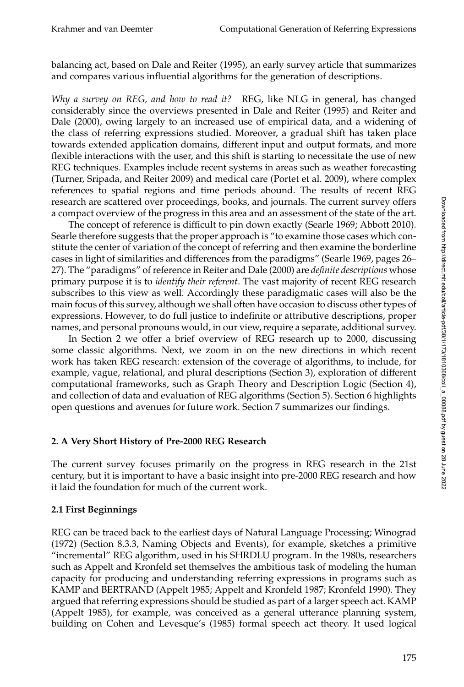balancing act, based on Dale and Reiter (1995), an early survey article that summarizes and compares various influential algorithms for the generation of descriptions.

*Why a survey on REG, and how to read it?* REG, like NLG in general, has changed considerably since the overviews presented in Dale and Reiter (1995) and Reiter and Dale (2000), owing largely to an increased use of empirical data, and a widening of the class of referring expressions studied. Moreover, a gradual shift has taken place towards extended application domains, different input and output formats, and more flexible interactions with the user, and this shift is starting to necessitate the use of new REG techniques. Examples include recent systems in areas such as weather forecasting (Turner, Sripada, and Reiter 2009) and medical care (Portet et al. 2009), where complex references to spatial regions and time periods abound. The results of recent REG research are scattered over proceedings, books, and journals. The current survey offers a compact overview of the progress in this area and an assessment of the state of the art.

The concept of reference is difficult to pin down exactly (Searle 1969; Abbott 2010). Searle therefore suggests that the proper approach is "to examine those cases which constitute the center of variation of the concept of referring and then examine the borderline cases in light of similarities and differences from the paradigms" (Searle 1969, pages 26– 27). The "paradigms" of reference in Reiter and Dale (2000) are *definite descriptions* whose primary purpose it is to *identify their referent*. The vast majority of recent REG research subscribes to this view as well. Accordingly these paradigmatic cases will also be the main focus of this survey, although we shall often have occasion to discuss other types of expressions. However, to do full justice to indefinite or attributive descriptions, proper names, and personal pronouns would, in our view, require a separate, additional survey.

In Section 2 we offer a brief overview of REG research up to 2000, discussing some classic algorithms. Next, we zoom in on the new directions in which recent work has taken REG research: extension of the coverage of algorithms, to include, for example, vague, relational, and plural descriptions (Section 3), exploration of different computational frameworks, such as Graph Theory and Description Logic (Section 4), and collection of data and evaluation of REG algorithms (Section 5). Section 6 highlights open questions and avenues for future work. Section 7 summarizes our findings.

# **2. A Very Short History of Pre-2000 REG Research**

The current survey focuses primarily on the progress in REG research in the 21st century, but it is important to have a basic insight into pre-2000 REG research and how it laid the foundation for much of the current work.

# **2.1 First Beginnings**

REG can be traced back to the earliest days of Natural Language Processing; Winograd (1972) (Section 8.3.3, Naming Objects and Events), for example, sketches a primitive "incremental" REG algorithm, used in his SHRDLU program. In the 1980s, researchers such as Appelt and Kronfeld set themselves the ambitious task of modeling the human capacity for producing and understanding referring expressions in programs such as KAMP and BERTRAND (Appelt 1985; Appelt and Kronfeld 1987; Kronfeld 1990). They argued that referring expressions should be studied as part of a larger speech act. KAMP (Appelt 1985), for example, was conceived as a general utterance planning system, building on Cohen and Levesque's (1985) formal speech act theory. It used logical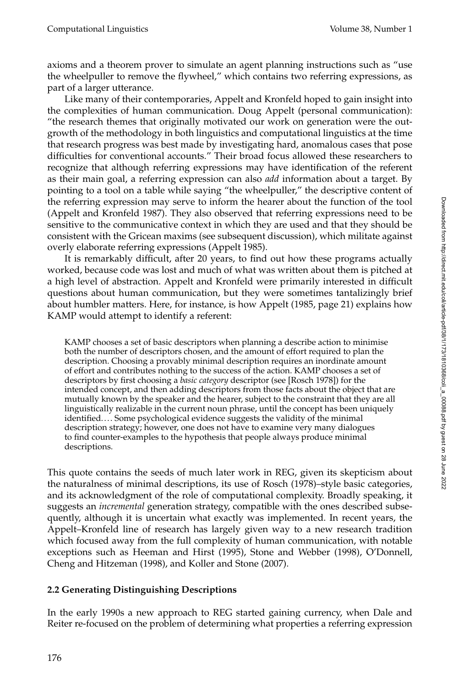axioms and a theorem prover to simulate an agent planning instructions such as "use the wheelpuller to remove the flywheel," which contains two referring expressions, as part of a larger utterance.

Like many of their contemporaries, Appelt and Kronfeld hoped to gain insight into the complexities of human communication. Doug Appelt (personal communication): "the research themes that originally motivated our work on generation were the outgrowth of the methodology in both linguistics and computational linguistics at the time that research progress was best made by investigating hard, anomalous cases that pose difficulties for conventional accounts." Their broad focus allowed these researchers to recognize that although referring expressions may have identification of the referent as their main goal, a referring expression can also *add* information about a target. By pointing to a tool on a table while saying "the wheelpuller," the descriptive content of the referring expression may serve to inform the hearer about the function of the tool (Appelt and Kronfeld 1987). They also observed that referring expressions need to be sensitive to the communicative context in which they are used and that they should be consistent with the Gricean maxims (see subsequent discussion), which militate against overly elaborate referring expressions (Appelt 1985).

It is remarkably difficult, after 20 years, to find out how these programs actually worked, because code was lost and much of what was written about them is pitched at a high level of abstraction. Appelt and Kronfeld were primarily interested in difficult questions about human communication, but they were sometimes tantalizingly brief about humbler matters. Here, for instance, is how Appelt (1985, page 21) explains how KAMP would attempt to identify a referent:

KAMP chooses a set of basic descriptors when planning a describe action to minimise both the number of descriptors chosen, and the amount of effort required to plan the description. Choosing a provably minimal description requires an inordinate amount of effort and contributes nothing to the success of the action. KAMP chooses a set of descriptors by first choosing a *basic category* descriptor (see [Rosch 1978]) for the intended concept, and then adding descriptors from those facts about the object that are mutually known by the speaker and the hearer, subject to the constraint that they are all linguistically realizable in the current noun phrase, until the concept has been uniquely identified.... Some psychological evidence suggests the validity of the minimal description strategy; however, one does not have to examine very many dialogues to find counter-examples to the hypothesis that people always produce minimal descriptions.

This quote contains the seeds of much later work in REG, given its skepticism about the naturalness of minimal descriptions, its use of Rosch (1978)–style basic categories, and its acknowledgment of the role of computational complexity. Broadly speaking, it suggests an *incremental* generation strategy, compatible with the ones described subsequently, although it is uncertain what exactly was implemented. In recent years, the Appelt–Kronfeld line of research has largely given way to a new research tradition which focused away from the full complexity of human communication, with notable exceptions such as Heeman and Hirst (1995), Stone and Webber (1998), O'Donnell, Cheng and Hitzeman (1998), and Koller and Stone (2007).

# **2.2 Generating Distinguishing Descriptions**

In the early 1990s a new approach to REG started gaining currency, when Dale and Reiter re-focused on the problem of determining what properties a referring expression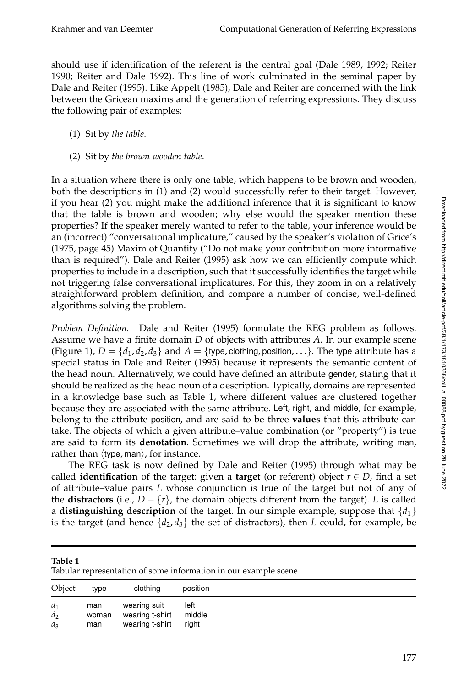should use if identification of the referent is the central goal (Dale 1989, 1992; Reiter 1990; Reiter and Dale 1992). This line of work culminated in the seminal paper by Dale and Reiter (1995). Like Appelt (1985), Dale and Reiter are concerned with the link between the Gricean maxims and the generation of referring expressions. They discuss the following pair of examples:

- (1) Sit by *the table*.
- (2) Sit by *the brown wooden table*.

In a situation where there is only one table, which happens to be brown and wooden, both the descriptions in (1) and (2) would successfully refer to their target. However, if you hear (2) you might make the additional inference that it is significant to know that the table is brown and wooden; why else would the speaker mention these properties? If the speaker merely wanted to refer to the table, your inference would be an (incorrect) "conversational implicature," caused by the speaker's violation of Grice's (1975, page 45) Maxim of Quantity ("Do not make your contribution more informative than is required"). Dale and Reiter (1995) ask how we can efficiently compute which properties to include in a description, such that it successfully identifies the target while not triggering false conversational implicatures. For this, they zoom in on a relatively straightforward problem definition, and compare a number of concise, well-defined algorithms solving the problem.

*Problem Definition.* Dale and Reiter (1995) formulate the REG problem as follows. Assume we have a finite domain *D* of objects with attributes *A*. In our example scene (Figure 1),  $D = \{d_1, d_2, d_3\}$  and  $A = \{\text{type}, \text{clothing}, \text{position}, \dots\}$ . The type attribute has a special status in Dale and Reiter (1995) because it represents the semantic content of the head noun. Alternatively, we could have defined an attribute gender, stating that it should be realized as the head noun of a description. Typically, domains are represented in a knowledge base such as Table 1, where different values are clustered together because they are associated with the same attribute. Left, right, and middle, for example, belong to the attribute position, and are said to be three **values** that this attribute can take. The objects of which a given attribute–value combination (or "property") is true are said to form its **denotation**. Sometimes we will drop the attribute, writing man, rather than  $\langle$  type, man $\rangle$ , for instance.

The REG task is now defined by Dale and Reiter (1995) through what may be called **identification** of the target: given a **target** (or referent) object  $r \in D$ , find a set of attribute–value pairs *L* whose conjunction is true of the target but not of any of the **distractors** (i.e.,  $D - \{r\}$ , the domain objects different from the target). *L* is called a **distinguishing description** of the target. In our simple example, suppose that  $\{d_1\}$ is the target (and hence  $\{d_2, d_3\}$  the set of distractors), then *L* could, for example, be

| Table 1<br>Tabular representation of some information in our example scene. |                     |                                                    |                         |  |  |  |  |  |
|-----------------------------------------------------------------------------|---------------------|----------------------------------------------------|-------------------------|--|--|--|--|--|
| Object                                                                      | type                | clothing                                           | position                |  |  |  |  |  |
| $d_1$<br>$d_2$<br>$d_{3}$                                                   | man<br>woman<br>man | wearing suit<br>wearing t-shirt<br>wearing t-shirt | left<br>middle<br>right |  |  |  |  |  |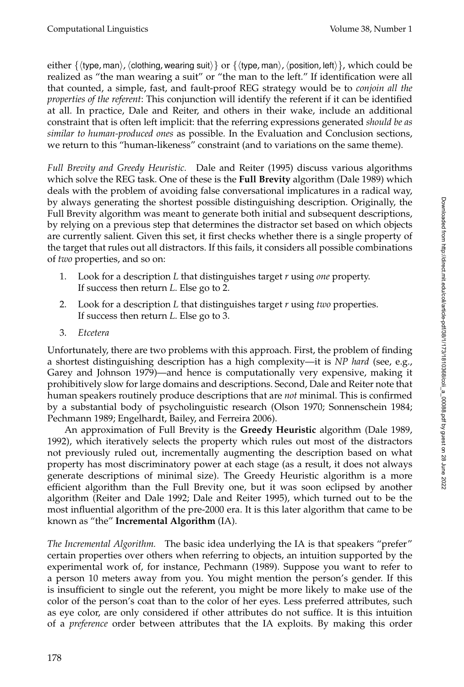either  $\{\langle type, man\rangle, \langle clothing, wearing suit\rangle\}$  or  $\{\langle type, man\rangle, \langle position, left\rangle\}$ , which could be realized as "the man wearing a suit" or "the man to the left." If identification were all that counted, a simple, fast, and fault-proof REG strategy would be to *conjoin all the properties of the referent*: This conjunction will identify the referent if it can be identified at all. In practice, Dale and Reiter, and others in their wake, include an additional constraint that is often left implicit: that the referring expressions generated *should be as similar to human-produced ones* as possible. In the Evaluation and Conclusion sections, we return to this "human-likeness" constraint (and to variations on the same theme).

*Full Brevity and Greedy Heuristic.* Dale and Reiter (1995) discuss various algorithms which solve the REG task. One of these is the **Full Brevity** algorithm (Dale 1989) which deals with the problem of avoiding false conversational implicatures in a radical way, by always generating the shortest possible distinguishing description. Originally, the Full Brevity algorithm was meant to generate both initial and subsequent descriptions, by relying on a previous step that determines the distractor set based on which objects are currently salient. Given this set, it first checks whether there is a single property of the target that rules out all distractors. If this fails, it considers all possible combinations of *two* properties, and so on:

- 1. Look for a description *L* that distinguishes target *r* using *one* property. If success then return *L*. Else go to 2.
- 2. Look for a description *L* that distinguishes target *r* using *two* properties. If success then return *L*. Else go to 3.
- 3. *Etcetera*

Unfortunately, there are two problems with this approach. First, the problem of finding a shortest distinguishing description has a high complexity—it is *NP hard* (see, e.g., Garey and Johnson 1979)—and hence is computationally very expensive, making it prohibitively slow for large domains and descriptions. Second, Dale and Reiter note that human speakers routinely produce descriptions that are *not* minimal. This is confirmed by a substantial body of psycholinguistic research (Olson 1970; Sonnenschein 1984; Pechmann 1989; Engelhardt, Bailey, and Ferreira 2006).

An approximation of Full Brevity is the **Greedy Heuristic** algorithm (Dale 1989, 1992), which iteratively selects the property which rules out most of the distractors not previously ruled out, incrementally augmenting the description based on what property has most discriminatory power at each stage (as a result, it does not always generate descriptions of minimal size). The Greedy Heuristic algorithm is a more efficient algorithm than the Full Brevity one, but it was soon eclipsed by another algorithm (Reiter and Dale 1992; Dale and Reiter 1995), which turned out to be the most influential algorithm of the pre-2000 era. It is this later algorithm that came to be known as "the" **Incremental Algorithm** (IA).

*The Incremental Algorithm.* The basic idea underlying the IA is that speakers "prefer" certain properties over others when referring to objects, an intuition supported by the experimental work of, for instance, Pechmann (1989). Suppose you want to refer to a person 10 meters away from you. You might mention the person's gender. If this is insufficient to single out the referent, you might be more likely to make use of the color of the person's coat than to the color of her eyes. Less preferred attributes, such as eye color, are only considered if other attributes do not suffice. It is this intuition of a *preference* order between attributes that the IA exploits. By making this order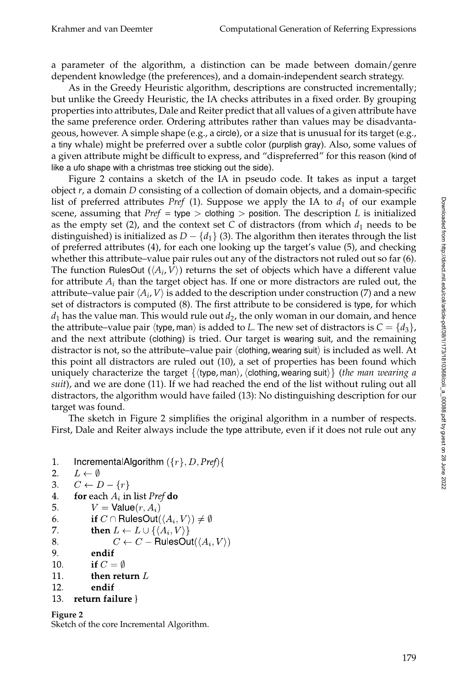a parameter of the algorithm, a distinction can be made between domain/genre dependent knowledge (the preferences), and a domain-independent search strategy.

As in the Greedy Heuristic algorithm, descriptions are constructed incrementally; but unlike the Greedy Heuristic, the IA checks attributes in a fixed order. By grouping properties into attributes, Dale and Reiter predict that all values of a given attribute have the same preference order. Ordering attributes rather than values may be disadvantageous, however. A simple shape (e.g., a circle), or a size that is unusual for its target (e.g., a tiny whale) might be preferred over a subtle color (purplish gray). Also, some values of a given attribute might be difficult to express, and "dispreferred" for this reason (kind of like a ufo shape with a christmas tree sticking out the side).

Figure 2 contains a sketch of the IA in pseudo code. It takes as input a target object *r*, a domain *D* consisting of a collection of domain objects, and a domain-specific list of preferred attributes *Pref* (1). Suppose we apply the IA to  $d_1$  of our example scene, assuming that  $Pref = type >$  clothing  $>$  position. The description *L* is initialized as the empty set (2), and the context set C of distractors (from which  $d_1$  needs to be distinguished) is initialized as  $D - \{d_1\}$  (3). The algorithm then iterates through the list of preferred attributes (4), for each one looking up the target's value (5), and checking whether this attribute–value pair rules out any of the distractors not ruled out so far (6). The function RulesOut  $(\langle A_i, V \rangle)$  returns the set of objects which have a different value for attribute  $A_i$  than the target object has. If one or more distractors are ruled out, the attribute–value pair  $\langle A_i, V \rangle$  is added to the description under construction (7) and a new set of distractors is computed (8). The first attribute to be considered is type, for which  $d_1$  has the value man. This would rule out  $d_2$ , the only woman in our domain, and hence the attribute–value pair  $\langle$ type, man $\rangle$  is added to *L*. The new set of distractors is  $C = \{d_3\}$ , and the next attribute (clothing) is tried. Our target is wearing suit, and the remaining distractor is not, so the attribute–value pair (clothing, wearing suit) is included as well. At this point all distractors are ruled out (10), a set of properties has been found which uniquely characterize the target  $\{\langle type, man\rangle,\langle clothing, wearing\ suit\rangle\}$  (*the man wearing a suit*), and we are done (11). If we had reached the end of the list without ruling out all distractors, the algorithm would have failed (13): No distinguishing description for our target was found.

The sketch in Figure 2 simplifies the original algorithm in a number of respects. First, Dale and Reiter always include the type attribute, even if it does not rule out any

1. IncrementalAlgorithm  $({r}, D, Pref)$ 

```
2.
              L \leftarrow \emptyset
```
 $C \leftarrow D - \{r\}$ 3.

```
4.
      for each A_i in list Pref do
```

```
5.
         V =Value(r, A_i)
```

```
6.
                 if C \cap RulesOut(\langle A_i, V \rangle) \neq \emptyset
```
7. then  $L \leftarrow L \cup \{ \langle A_i, V \rangle \}$ 

```
C \leftarrow C - RulesOut(\langle A_i, V \rangle)8.
```
- 9. endif
- 10. if  $C=\emptyset$
- $11.$ then return  $L$
- $12.$ endif
- 13. return failure }

**Figure 2** Sketch of the core Incremental Algorithm.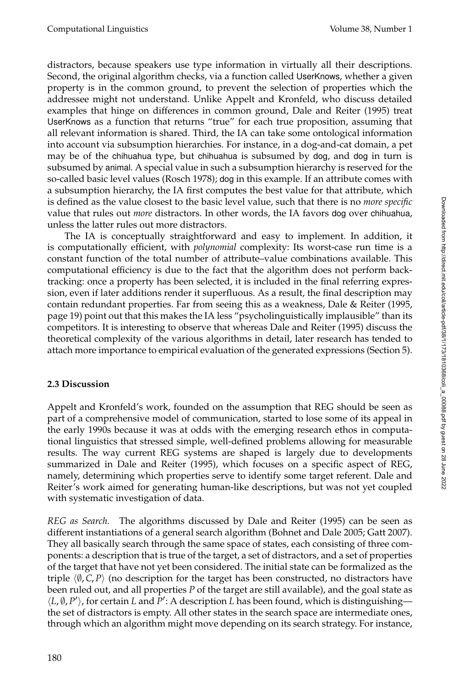distractors, because speakers use type information in virtually all their descriptions. Second, the original algorithm checks, via a function called UserKnows, whether a given property is in the common ground, to prevent the selection of properties which the addressee might not understand. Unlike Appelt and Kronfeld, who discuss detailed examples that hinge on differences in common ground, Dale and Reiter (1995) treat UserKnows as a function that returns "true" for each true proposition, assuming that all relevant information is shared. Third, the IA can take some ontological information into account via subsumption hierarchies. For instance, in a dog-and-cat domain, a pet may be of the chihuahua type, but chihuahua is subsumed by dog, and dog in turn is subsumed by animal. A special value in such a subsumption hierarchy is reserved for the so-called basic level values (Rosch 1978); dog in this example. If an attribute comes with a subsumption hierarchy, the IA first computes the best value for that attribute, which is defined as the value closest to the basic level value, such that there is no *more specific* value that rules out *more* distractors. In other words, the IA favors dog over chihuahua, unless the latter rules out more distractors.

The IA is conceptually straightforward and easy to implement. In addition, it is computationally efficient, with *polynomial* complexity: Its worst-case run time is a constant function of the total number of attribute–value combinations available. This computational efficiency is due to the fact that the algorithm does not perform backtracking: once a property has been selected, it is included in the final referring expression, even if later additions render it superfluous. As a result, the final description may contain redundant properties. Far from seeing this as a weakness, Dale & Reiter (1995, page 19) point out that this makes the IA less "psycholinguistically implausible" than its competitors. It is interesting to observe that whereas Dale and Reiter (1995) discuss the theoretical complexity of the various algorithms in detail, later research has tended to attach more importance to empirical evaluation of the generated expressions (Section 5).

# **2.3 Discussion**

Appelt and Kronfeld's work, founded on the assumption that REG should be seen as part of a comprehensive model of communication, started to lose some of its appeal in the early 1990s because it was at odds with the emerging research ethos in computational linguistics that stressed simple, well-defined problems allowing for measurable results. The way current REG systems are shaped is largely due to developments summarized in Dale and Reiter (1995), which focuses on a specific aspect of REG, namely, determining which properties serve to identify some target referent. Dale and Reiter's work aimed for generating human-like descriptions, but was not yet coupled with systematic investigation of data.

*REG as Search.* The algorithms discussed by Dale and Reiter (1995) can be seen as different instantiations of a general search algorithm (Bohnet and Dale 2005; Gatt 2007). They all basically search through the same space of states, each consisting of three components: a description that is true of the target, a set of distractors, and a set of properties of the target that have not yet been considered. The initial state can be formalized as the triple  $\langle \emptyset, C, P \rangle$  (no description for the target has been constructed, no distractors have been ruled out, and all properties *P* of the target are still available), and the goal state as  $\langle L, \emptyset, P' \rangle$ , for certain *L* and  $P'$ : A description *L* has been found, which is distinguishing the set of distractors is empty. All other states in the search space are intermediate ones, through which an algorithm might move depending on its search strategy. For instance,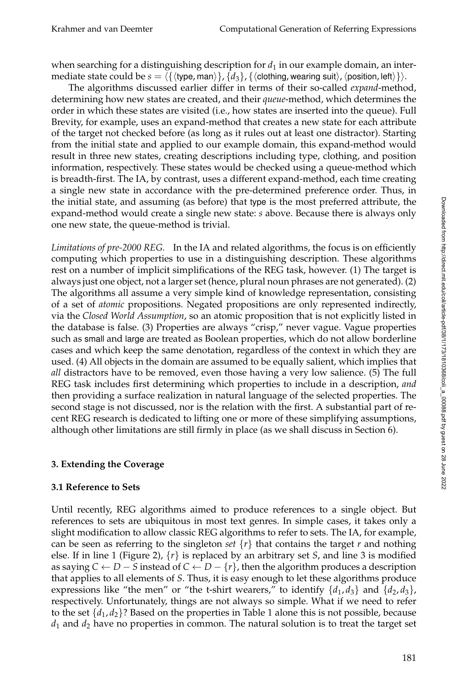when searching for a distinguishing description for  $d_1$  in our example domain, an intermediate state could be  $s = \langle \{ \langle type, man \rangle \}, \{d_3\}, \{\langle$  clothing, wearing suit $\rangle$ ,  $\langle$  position, left $\rangle \}$ .

The algorithms discussed earlier differ in terms of their so-called *expand*-method, determining how new states are created, and their *queue*-method, which determines the order in which these states are visited (i.e., how states are inserted into the queue). Full Brevity, for example, uses an expand-method that creates a new state for each attribute of the target not checked before (as long as it rules out at least one distractor). Starting from the initial state and applied to our example domain, this expand-method would result in three new states, creating descriptions including type, clothing, and position information, respectively. These states would be checked using a queue-method which is breadth-first. The IA, by contrast, uses a different expand-method, each time creating a single new state in accordance with the pre-determined preference order. Thus, in the initial state, and assuming (as before) that type is the most preferred attribute, the expand-method would create a single new state: *s* above. Because there is always only one new state, the queue-method is trivial.

Limitations of pre-2000 REG. In the IA and related algorithms, the focus is on efficiently computing which properties to use in a distinguishing description. These algorithms rest on a number of implicit simplifications of the REG task, however. (1) The target is always just one object, not a larger set (hence, plural noun phrases are not generated). (2) The algorithms all assume a very simple kind of knowledge representation, consisting of a set of *atomic* propositions. Negated propositions are only represented indirectly, via the *Closed World Assumption*, so an atomic proposition that is not explicitly listed in the database is false. (3) Properties are always "crisp," never vague. Vague properties such as small and large are treated as Boolean properties, which do not allow borderline cases and which keep the same denotation, regardless of the context in which they are used. (4) All objects in the domain are assumed to be equally salient, which implies that *all* distractors have to be removed, even those having a very low salience. (5) The full REG task includes first determining which properties to include in a description, *and* then providing a surface realization in natural language of the selected properties. The second stage is not discussed, nor is the relation with the first. A substantial part of recent REG research is dedicated to lifting one or more of these simplifying assumptions, although other limitations are still firmly in place (as we shall discuss in Section 6).

# **3. Extending the Coverage**

# **3.1 Reference to Sets**

Until recently, REG algorithms aimed to produce references to a single object. But references to sets are ubiquitous in most text genres. In simple cases, it takes only a slight modification to allow classic REG algorithms to refer to sets. The IA, for example, can be seen as referring to the singleton *set*  $\{r\}$  that contains the target *r* and nothing else. If in line 1 (Figure 2), {*r*} is replaced by an arbitrary set *S*, and line 3 is modified as saying *C* ← *D* − *S* instead of *C* ← *D* − {*r*}, then the algorithm produces a description that applies to all elements of *S*. Thus, it is easy enough to let these algorithms produce expressions like "the men" or "the t-shirt wearers," to identify  $\{d_1, d_3\}$  and  $\{d_2, d_3\}$ , respectively. Unfortunately, things are not always so simple. What if we need to refer to the set  $\{d_1, d_2\}$ ? Based on the properties in Table 1 alone this is not possible, because  $d_1$  and  $d_2$  have no properties in common. The natural solution is to treat the target set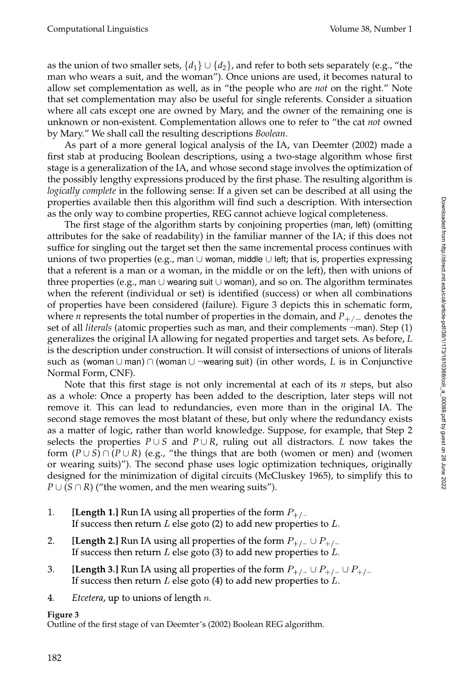as the union of two smaller sets,  $\{d_1\} \cup \{d_2\}$ , and refer to both sets separately (e.g., "the man who wears a suit, and the woman"). Once unions are used, it becomes natural to allow set complementation as well, as in "the people who are *not* on the right." Note that set complementation may also be useful for single referents. Consider a situation where all cats except one are owned by Mary, and the owner of the remaining one is unknown or non-existent. Complementation allows one to refer to "the cat *not* owned by Mary." We shall call the resulting descriptions *Boolean*.

As part of a more general logical analysis of the IA, van Deemter (2002) made a first stab at producing Boolean descriptions, using a two-stage algorithm whose first stage is a generalization of the IA, and whose second stage involves the optimization of the possibly lengthy expressions produced by the first phase. The resulting algorithm is *logically complete* in the following sense: If a given set can be described at all using the properties available then this algorithm will find such a description. With intersection as the only way to combine properties, REG cannot achieve logical completeness.

The first stage of the algorithm starts by conjoining properties (man, left) (omitting attributes for the sake of readability) in the familiar manner of the IA; if this does not suffice for singling out the target set then the same incremental process continues with unions of two properties (e.g., man ∪ woman, middle ∪ left; that is, properties expressing that a referent is a man or a woman, in the middle or on the left), then with unions of three properties (e.g., man ∪ wearing suit ∪ woman), and so on. The algorithm terminates when the referent (individual or set) is identified (success) or when all combinations of properties have been considered (failure). Figure 3 depicts this in schematic form, where *n* represents the total number of properties in the domain, and  $P_{+/-}$  denotes the set of all *literals* (atomic properties such as man, and their complements ¬man). Step (1) generalizes the original IA allowing for negated properties and target sets. As before, *L* is the description under construction. It will consist of intersections of unions of literals such as (woman ∪ man) ∩ (woman ∪ ¬wearing suit) (in other words, *L* is in Conjunctive Normal Form, CNF).

Note that this first stage is not only incremental at each of its *n* steps, but also as a whole: Once a property has been added to the description, later steps will not remove it. This can lead to redundancies, even more than in the original IA. The second stage removes the most blatant of these, but only where the redundancy exists as a matter of logic, rather than world knowledge. Suppose, for example, that Step 2 selects the properties  $P \cup S$  and  $P \cup R$ , ruling out all distractors. *L* now takes the form  $(P \cup S) \cap (P \cup R)$  (e.g., "the things that are both (women or men) and (women or wearing suits)"). The second phase uses logic optimization techniques, originally designed for the minimization of digital circuits (McCluskey 1965), to simplify this to *P* ∪ (*S* ∩ *R*) ("the women, and the men wearing suits").

- **[Length 1.]** Run IA using all properties of the form  $P_{+/-}$ 1. If success then return  $L$  else goto (2) to add new properties to  $L$ .
- $2.$ **[Length 2.]** Run IA using all properties of the form  $P_{+/-} \cup P_{+/-}$ If success then return  $L$  else goto (3) to add new properties to  $L$ .
- 3. **[Length 3.]** Run IA using all properties of the form  $P_{+/-} \cup P_{+/-} \cup P_{+/-}$ If success then return  $L$  else goto (4) to add new properties to  $L$ .
- 4. *Etcetera*, up to unions of length  $n$ .

#### **Figure 3**

Outline of the first stage of van Deemter's (2002) Boolean REG algorithm.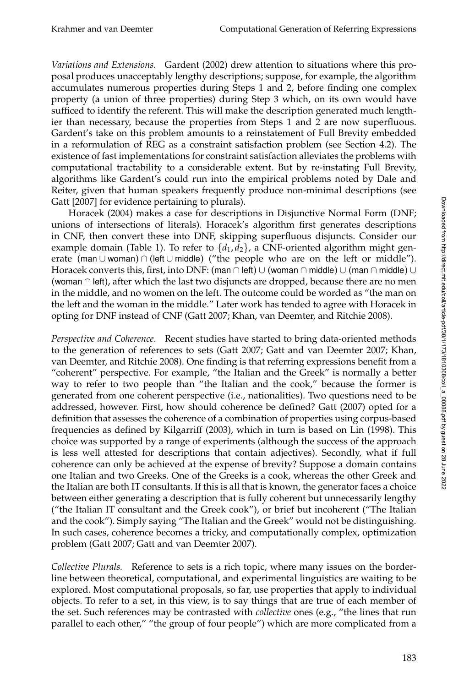*Variations and Extensions.* Gardent (2002) drew attention to situations where this proposal produces unacceptably lengthy descriptions; suppose, for example, the algorithm accumulates numerous properties during Steps 1 and 2, before finding one complex property (a union of three properties) during Step 3 which, on its own would have sufficed to identify the referent. This will make the description generated much lengthier than necessary, because the properties from Steps 1 and 2 are now superfluous. Gardent's take on this problem amounts to a reinstatement of Full Brevity embedded in a reformulation of REG as a constraint satisfaction problem (see Section 4.2). The existence of fast implementations for constraint satisfaction alleviates the problems with computational tractability to a considerable extent. But by re-instating Full Brevity, algorithms like Gardent's could run into the empirical problems noted by Dale and Reiter, given that human speakers frequently produce non-minimal descriptions (see Gatt [2007] for evidence pertaining to plurals).

Horacek (2004) makes a case for descriptions in Disjunctive Normal Form (DNF; unions of intersections of literals). Horacek's algorithm first generates descriptions in CNF, then convert these into DNF, skipping superfluous disjuncts. Consider our example domain (Table 1). To refer to  $\{d_1, d_2\}$ , a CNF-oriented algorithm might generate (man ∪ woman) ∩ (left ∪ middle) ("the people who are on the left or middle"). Horacek converts this, first, into DNF: (man ∩ left) ∪ (woman ∩ middle) ∪ (man ∩ middle) ∪ (woman ∩ left), after which the last two disjuncts are dropped, because there are no men in the middle, and no women on the left. The outcome could be worded as "the man on the left and the woman in the middle." Later work has tended to agree with Horacek in opting for DNF instead of CNF (Gatt 2007; Khan, van Deemter, and Ritchie 2008).

*Perspective and Coherence.* Recent studies have started to bring data-oriented methods to the generation of references to sets (Gatt 2007; Gatt and van Deemter 2007; Khan, van Deemter, and Ritchie 2008). One finding is that referring expressions benefit from a "coherent" perspective. For example, "the Italian and the Greek" is normally a better way to refer to two people than "the Italian and the cook," because the former is generated from one coherent perspective (i.e., nationalities). Two questions need to be addressed, however. First, how should coherence be defined? Gatt (2007) opted for a definition that assesses the coherence of a combination of properties using corpus-based frequencies as defined by Kilgarriff (2003), which in turn is based on Lin (1998). This choice was supported by a range of experiments (although the success of the approach is less well attested for descriptions that contain adjectives). Secondly, what if full coherence can only be achieved at the expense of brevity? Suppose a domain contains one Italian and two Greeks. One of the Greeks is a cook, whereas the other Greek and the Italian are both IT consultants. If this is all that is known, the generator faces a choice between either generating a description that is fully coherent but unnecessarily lengthy ("the Italian IT consultant and the Greek cook"), or brief but incoherent ("The Italian and the cook"). Simply saying "The Italian and the Greek" would not be distinguishing. In such cases, coherence becomes a tricky, and computationally complex, optimization problem (Gatt 2007; Gatt and van Deemter 2007).

*Collective Plurals.* Reference to sets is a rich topic, where many issues on the borderline between theoretical, computational, and experimental linguistics are waiting to be explored. Most computational proposals, so far, use properties that apply to individual objects. To refer to a set, in this view, is to say things that are true of each member of the set. Such references may be contrasted with *collective* ones (e.g., "the lines that run parallel to each other," "the group of four people") which are more complicated from a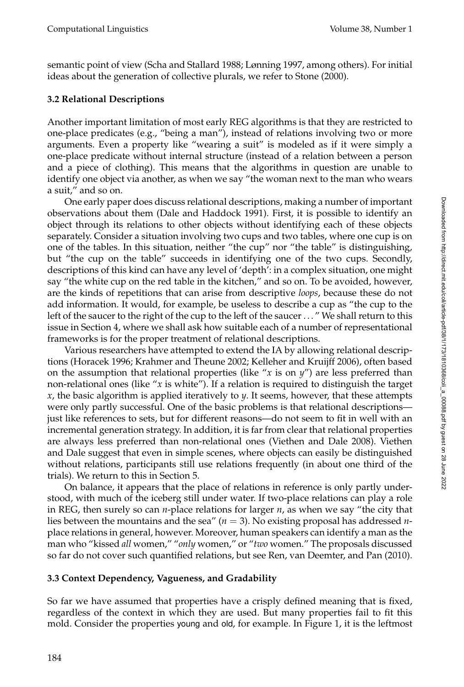semantic point of view (Scha and Stallard 1988; Lønning 1997, among others). For initial ideas about the generation of collective plurals, we refer to Stone (2000).

# **3.2 Relational Descriptions**

Another important limitation of most early REG algorithms is that they are restricted to one-place predicates (e.g., "being a man"), instead of relations involving two or more arguments. Even a property like "wearing a suit" is modeled as if it were simply a one-place predicate without internal structure (instead of a relation between a person and a piece of clothing). This means that the algorithms in question are unable to identify one object via another, as when we say "the woman next to the man who wears a suit," and so on.

One early paper does discuss relational descriptions, making a number of important observations about them (Dale and Haddock 1991). First, it is possible to identify an object through its relations to other objects without identifying each of these objects separately. Consider a situation involving two cups and two tables, where one cup is on one of the tables. In this situation, neither "the cup" nor "the table" is distinguishing, but "the cup on the table" succeeds in identifying one of the two cups. Secondly, descriptions of this kind can have any level of 'depth': in a complex situation, one might say "the white cup on the red table in the kitchen," and so on. To be avoided, however, are the kinds of repetitions that can arise from descriptive *loops*, because these do not add information. It would, for example, be useless to describe a cup as "the cup to the left of the saucer to the right of the cup to the left of the saucer . . . " We shall return to this issue in Section 4, where we shall ask how suitable each of a number of representational frameworks is for the proper treatment of relational descriptions.

Various researchers have attempted to extend the IA by allowing relational descriptions (Horacek 1996; Krahmer and Theune 2002; Kelleher and Kruijff 2006), often based on the assumption that relational properties (like " $x$  is on  $y$ ") are less preferred than non-relational ones (like "*x* is white"). If a relation is required to distinguish the target *x*, the basic algorithm is applied iteratively to *y*. It seems, however, that these attempts were only partly successful. One of the basic problems is that relational descriptions just like references to sets, but for different reasons—do not seem to fit in well with an incremental generation strategy. In addition, it is far from clear that relational properties are always less preferred than non-relational ones (Viethen and Dale 2008). Viethen and Dale suggest that even in simple scenes, where objects can easily be distinguished without relations, participants still use relations frequently (in about one third of the trials). We return to this in Section 5.

On balance, it appears that the place of relations in reference is only partly understood, with much of the iceberg still under water. If two-place relations can play a role in REG, then surely so can *n*-place relations for larger *n*, as when we say "the city that lies between the mountains and the sea" (*n* = 3). No existing proposal has addressed *n*place relations in general, however. Moreover, human speakers can identify a man as the man who "kissed *all* women," "*only* women," or "*two* women." The proposals discussed so far do not cover such quantified relations, but see Ren, van Deemter, and Pan (2010).

# **3.3 Context Dependency, Vagueness, and Gradability**

So far we have assumed that properties have a crisply defined meaning that is fixed, regardless of the context in which they are used. But many properties fail to fit this mold. Consider the properties young and old, for example. In Figure 1, it is the leftmost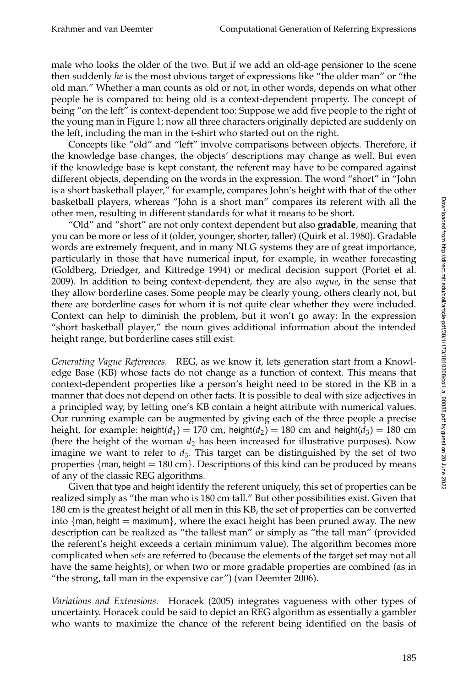male who looks the older of the two. But if we add an old-age pensioner to the scene then suddenly *he* is the most obvious target of expressions like "the older man" or "the old man." Whether a man counts as old or not, in other words, depends on what other people he is compared to: being old is a context-dependent property. The concept of being "on the left" is context-dependent too: Suppose we add five people to the right of the young man in Figure 1; now all three characters originally depicted are suddenly on the left, including the man in the t-shirt who started out on the right.

Concepts like "old" and "left" involve comparisons between objects. Therefore, if the knowledge base changes, the objects' descriptions may change as well. But even if the knowledge base is kept constant, the referent may have to be compared against different objects, depending on the words in the expression. The word "short" in "John is a short basketball player," for example, compares John's height with that of the other basketball players, whereas "John is a short man" compares its referent with all the other men, resulting in different standards for what it means to be short.

"Old" and "short" are not only context dependent but also **gradable**, meaning that you can be more or less of it (older, younger, shorter, taller) (Quirk et al. 1980). Gradable words are extremely frequent, and in many NLG systems they are of great importance, particularly in those that have numerical input, for example, in weather forecasting (Goldberg, Driedger, and Kittredge 1994) or medical decision support (Portet et al. 2009). In addition to being context-dependent, they are also *vague*, in the sense that they allow borderline cases. Some people may be clearly young, others clearly not, but there are borderline cases for whom it is not quite clear whether they were included. Context can help to diminish the problem, but it won't go away: In the expression "short basketball player," the noun gives additional information about the intended height range, but borderline cases still exist.

*Generating Vague References.* REG, as we know it, lets generation start from a Knowledge Base (KB) whose facts do not change as a function of context. This means that context-dependent properties like a person's height need to be stored in the KB in a manner that does not depend on other facts. It is possible to deal with size adjectives in a principled way, by letting one's KB contain a height attribute with numerical values. Our running example can be augmented by giving each of the three people a precise height, for example: height $(d_1) = 170$  cm, height $(d_2) = 180$  cm and height $(d_3) = 180$  cm (here the height of the woman  $d_2$  has been increased for illustrative purposes). Now imagine we want to refer to  $d_3$ . This target can be distinguished by the set of two properties  $\{$ man, height = 180 cm $\}$ . Descriptions of this kind can be produced by means of any of the classic REG algorithms.

Given that type and height identify the referent uniquely, this set of properties can be realized simply as "the man who is 180 cm tall." But other possibilities exist. Given that 180 cm is the greatest height of all men in this KB, the set of properties can be converted into  $\{$ man, height = maximum $\}$ , where the exact height has been pruned away. The new description can be realized as "the tallest man" or simply as "the tall man" (provided the referent's height exceeds a certain minimum value). The algorithm becomes more complicated when *sets* are referred to (because the elements of the target set may not all have the same heights), or when two or more gradable properties are combined (as in "the strong, tall man in the expensive car") (van Deemter 2006).

*Variations and Extensions.* Horacek (2005) integrates vagueness with other types of uncertainty. Horacek could be said to depict an REG algorithm as essentially a gambler who wants to maximize the chance of the referent being identified on the basis of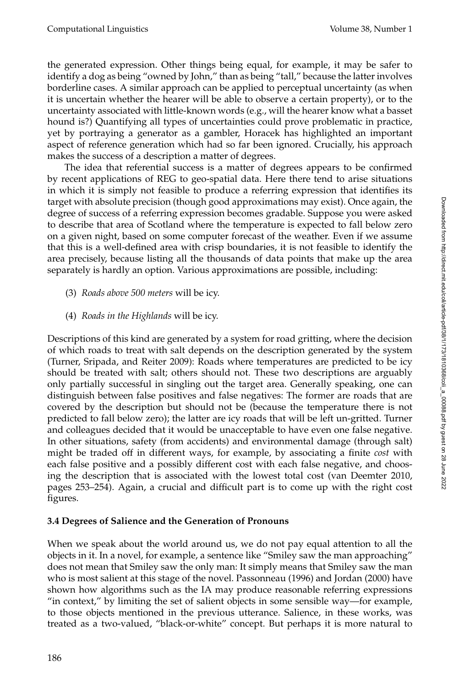the generated expression. Other things being equal, for example, it may be safer to identify a dog as being "owned by John," than as being "tall," because the latter involves borderline cases. A similar approach can be applied to perceptual uncertainty (as when it is uncertain whether the hearer will be able to observe a certain property), or to the uncertainty associated with little-known words (e.g., will the hearer know what a basset hound is?) Quantifying all types of uncertainties could prove problematic in practice, yet by portraying a generator as a gambler, Horacek has highlighted an important aspect of reference generation which had so far been ignored. Crucially, his approach makes the success of a description a matter of degrees.

The idea that referential success is a matter of degrees appears to be confirmed by recent applications of REG to geo-spatial data. Here there tend to arise situations in which it is simply not feasible to produce a referring expression that identifies its target with absolute precision (though good approximations may exist). Once again, the degree of success of a referring expression becomes gradable. Suppose you were asked to describe that area of Scotland where the temperature is expected to fall below zero on a given night, based on some computer forecast of the weather. Even if we assume that this is a well-defined area with crisp boundaries, it is not feasible to identify the area precisely, because listing all the thousands of data points that make up the area separately is hardly an option. Various approximations are possible, including:

- (3) *Roads above 500 meters* will be icy.
- (4) *Roads in the Highlands* will be icy.

Descriptions of this kind are generated by a system for road gritting, where the decision of which roads to treat with salt depends on the description generated by the system (Turner, Sripada, and Reiter 2009): Roads where temperatures are predicted to be icy should be treated with salt; others should not. These two descriptions are arguably only partially successful in singling out the target area. Generally speaking, one can distinguish between false positives and false negatives: The former are roads that are covered by the description but should not be (because the temperature there is not predicted to fall below zero); the latter are icy roads that will be left un-gritted. Turner and colleagues decided that it would be unacceptable to have even one false negative. In other situations, safety (from accidents) and environmental damage (through salt) might be traded off in different ways, for example, by associating a finite *cost* with each false positive and a possibly different cost with each false negative, and choosing the description that is associated with the lowest total cost (van Deemter 2010, pages 253–254). Again, a crucial and difficult part is to come up with the right cost figures.

# **3.4 Degrees of Salience and the Generation of Pronouns**

When we speak about the world around us, we do not pay equal attention to all the objects in it. In a novel, for example, a sentence like "Smiley saw the man approaching" does not mean that Smiley saw the only man: It simply means that Smiley saw the man who is most salient at this stage of the novel. Passonneau (1996) and Jordan (2000) have shown how algorithms such as the IA may produce reasonable referring expressions "in context," by limiting the set of salient objects in some sensible way—for example, to those objects mentioned in the previous utterance. Salience, in these works, was treated as a two-valued, "black-or-white" concept. But perhaps it is more natural to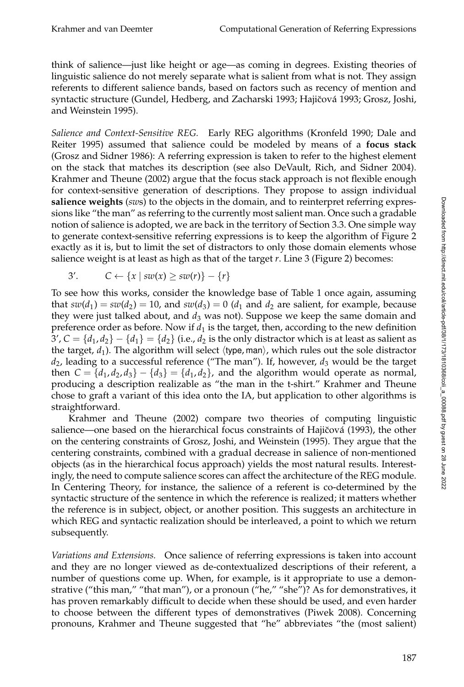think of salience—just like height or age—as coming in degrees. Existing theories of linguistic salience do not merely separate what is salient from what is not. They assign referents to different salience bands, based on factors such as recency of mention and syntactic structure (Gundel, Hedberg, and Zacharski 1993; Hajičová 1993; Grosz, Joshi, and Weinstein 1995).

*Salience and Context-Sensitive REG.* Early REG algorithms (Kronfeld 1990; Dale and Reiter 1995) assumed that salience could be modeled by means of a **focus stack** (Grosz and Sidner 1986): A referring expression is taken to refer to the highest element on the stack that matches its description (see also DeVault, Rich, and Sidner 2004). Krahmer and Theune (2002) argue that the focus stack approach is not flexible enough for context-sensitive generation of descriptions. They propose to assign individual **salience weights** (*sw*s) to the objects in the domain, and to reinterpret referring expressions like "the man" as referring to the currently most salient man. Once such a gradable notion of salience is adopted, we are back in the territory of Section 3.3. One simple way to generate context-sensitive referring expressions is to keep the algorithm of Figure 2 exactly as it is, but to limit the set of distractors to only those domain elements whose salience weight is at least as high as that of the target *r*. Line 3 (Figure 2) becomes:

3'. 
$$
C \leftarrow \{x \mid sw(x) \ge sw(r)\} - \{r\}
$$

To see how this works, consider the knowledge base of Table 1 once again, assuming that  $sw(d_1) = sw(d_2) = 10$ , and  $sw(d_3) = 0$  ( $d_1$  and  $d_2$  are salient, for example, because they were just talked about, and  $d_3$  was not). Suppose we keep the same domain and preference order as before. Now if  $d_1$  is the target, then, according to the new definition  $3'$ ,  $C = \{d_1, d_2\} - \{d_1\} = \{d_2\}$  (i.e.,  $d_2$  is the only distractor which is at least as salient as the target,  $d_1$ ). The algorithm will select  $\langle$ type, man $\rangle$ , which rules out the sole distractor  $d_2$ , leading to a successful reference ("The man"). If, however,  $d_3$  would be the target then  $C = \{d_1, d_2, d_3\} - \{d_3\} = \{d_1, d_2\}$ , and the algorithm would operate as normal, producing a description realizable as "the man in the t-shirt." Krahmer and Theune chose to graft a variant of this idea onto the IA, but application to other algorithms is straightforward.

Krahmer and Theune (2002) compare two theories of computing linguistic salience—one based on the hierarchical focus constraints of Hajičová (1993), the other on the centering constraints of Grosz, Joshi, and Weinstein (1995). They argue that the centering constraints, combined with a gradual decrease in salience of non-mentioned objects (as in the hierarchical focus approach) yields the most natural results. Interestingly, the need to compute salience scores can affect the architecture of the REG module. In Centering Theory, for instance, the salience of a referent is co-determined by the syntactic structure of the sentence in which the reference is realized; it matters whether the reference is in subject, object, or another position. This suggests an architecture in which REG and syntactic realization should be interleaved, a point to which we return subsequently.

*Variations and Extensions.* Once salience of referring expressions is taken into account and they are no longer viewed as de-contextualized descriptions of their referent, a number of questions come up. When, for example, is it appropriate to use a demonstrative ("this man," "that man"), or a pronoun ("he," "she")? As for demonstratives, it has proven remarkably difficult to decide when these should be used, and even harder to choose between the different types of demonstratives (Piwek 2008). Concerning pronouns, Krahmer and Theune suggested that "he" abbreviates "the (most salient)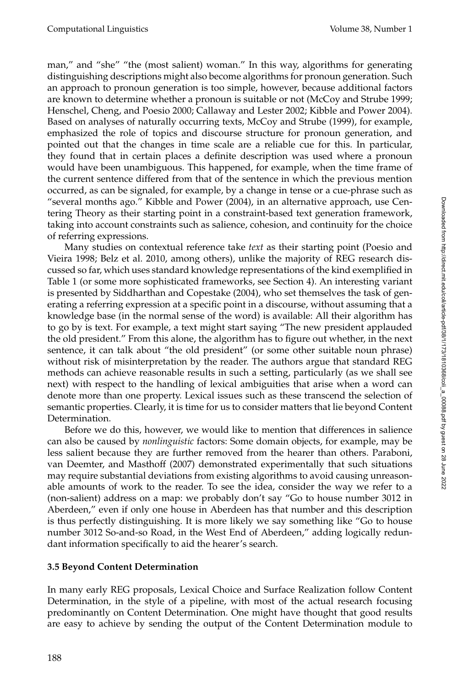man," and "she" "the (most salient) woman." In this way, algorithms for generating distinguishing descriptions might also become algorithms for pronoun generation. Such an approach to pronoun generation is too simple, however, because additional factors are known to determine whether a pronoun is suitable or not (McCoy and Strube 1999; Henschel, Cheng, and Poesio 2000; Callaway and Lester 2002; Kibble and Power 2004). Based on analyses of naturally occurring texts, McCoy and Strube (1999), for example, emphasized the role of topics and discourse structure for pronoun generation, and pointed out that the changes in time scale are a reliable cue for this. In particular, they found that in certain places a definite description was used where a pronoun would have been unambiguous. This happened, for example, when the time frame of the current sentence differed from that of the sentence in which the previous mention occurred, as can be signaled, for example, by a change in tense or a cue-phrase such as "several months ago." Kibble and Power (2004), in an alternative approach, use Centering Theory as their starting point in a constraint-based text generation framework, taking into account constraints such as salience, cohesion, and continuity for the choice of referring expressions.

Many studies on contextual reference take *text* as their starting point (Poesio and Vieira 1998; Belz et al. 2010, among others), unlike the majority of REG research discussed so far, which uses standard knowledge representations of the kind exemplified in Table 1 (or some more sophisticated frameworks, see Section 4). An interesting variant is presented by Siddharthan and Copestake (2004), who set themselves the task of generating a referring expression at a specific point in a discourse, without assuming that a knowledge base (in the normal sense of the word) is available: All their algorithm has to go by is text. For example, a text might start saying "The new president applauded the old president." From this alone, the algorithm has to figure out whether, in the next sentence, it can talk about "the old president" (or some other suitable noun phrase) without risk of misinterpretation by the reader. The authors argue that standard REG methods can achieve reasonable results in such a setting, particularly (as we shall see next) with respect to the handling of lexical ambiguities that arise when a word can denote more than one property. Lexical issues such as these transcend the selection of semantic properties. Clearly, it is time for us to consider matters that lie beyond Content Determination.

Before we do this, however, we would like to mention that differences in salience can also be caused by *nonlinguistic* factors: Some domain objects, for example, may be less salient because they are further removed from the hearer than others. Paraboni, van Deemter, and Masthoff (2007) demonstrated experimentally that such situations may require substantial deviations from existing algorithms to avoid causing unreasonable amounts of work to the reader. To see the idea, consider the way we refer to a (non-salient) address on a map: we probably don't say "Go to house number 3012 in Aberdeen," even if only one house in Aberdeen has that number and this description is thus perfectly distinguishing. It is more likely we say something like "Go to house number 3012 So-and-so Road, in the West End of Aberdeen," adding logically redundant information specifically to aid the hearer's search.

# **3.5 Beyond Content Determination**

In many early REG proposals, Lexical Choice and Surface Realization follow Content Determination, in the style of a pipeline, with most of the actual research focusing predominantly on Content Determination. One might have thought that good results are easy to achieve by sending the output of the Content Determination module to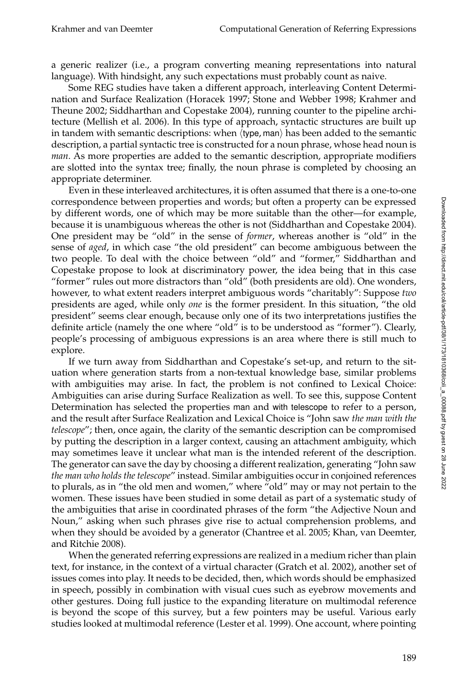a generic realizer (i.e., a program converting meaning representations into natural language). With hindsight, any such expectations must probably count as naive.

Some REG studies have taken a different approach, interleaving Content Determination and Surface Realization (Horacek 1997; Stone and Webber 1998; Krahmer and Theune 2002; Siddharthan and Copestake 2004), running counter to the pipeline architecture (Mellish et al. 2006). In this type of approach, syntactic structures are built up in tandem with semantic descriptions: when  $\langle$ type, man $\rangle$  has been added to the semantic description, a partial syntactic tree is constructed for a noun phrase, whose head noun is *man*. As more properties are added to the semantic description, appropriate modifiers are slotted into the syntax tree; finally, the noun phrase is completed by choosing an appropriate determiner.

Even in these interleaved architectures, it is often assumed that there is a one-to-one correspondence between properties and words; but often a property can be expressed by different words, one of which may be more suitable than the other—for example, because it is unambiguous whereas the other is not (Siddharthan and Copestake 2004). One president may be "old" in the sense of *former*, whereas another is "old" in the sense of *aged*, in which case "the old president" can become ambiguous between the two people. To deal with the choice between "old" and "former," Siddharthan and Copestake propose to look at discriminatory power, the idea being that in this case "former" rules out more distractors than "old" (both presidents are old). One wonders, however, to what extent readers interpret ambiguous words "charitably": Suppose *two* presidents are aged, while only *one* is the former president. In this situation, "the old president" seems clear enough, because only one of its two interpretations justifies the definite article (namely the one where "old" is to be understood as "former"). Clearly, people's processing of ambiguous expressions is an area where there is still much to explore.

If we turn away from Siddharthan and Copestake's set-up, and return to the situation where generation starts from a non-textual knowledge base, similar problems with ambiguities may arise. In fact, the problem is not confined to Lexical Choice: Ambiguities can arise during Surface Realization as well. To see this, suppose Content Determination has selected the properties man and with telescope to refer to a person, and the result after Surface Realization and Lexical Choice is "John saw *the man with the telescope*"; then, once again, the clarity of the semantic description can be compromised by putting the description in a larger context, causing an attachment ambiguity, which may sometimes leave it unclear what man is the intended referent of the description. The generator can save the day by choosing a different realization, generating "John saw *the man who holds the telescope*" instead. Similar ambiguities occur in conjoined references to plurals, as in "the old men and women," where "old" may or may not pertain to the women. These issues have been studied in some detail as part of a systematic study of the ambiguities that arise in coordinated phrases of the form "the Adjective Noun and Noun," asking when such phrases give rise to actual comprehension problems, and when they should be avoided by a generator (Chantree et al. 2005; Khan, van Deemter, and Ritchie 2008).

When the generated referring expressions are realized in a medium richer than plain text, for instance, in the context of a virtual character (Gratch et al. 2002), another set of issues comes into play. It needs to be decided, then, which words should be emphasized in speech, possibly in combination with visual cues such as eyebrow movements and other gestures. Doing full justice to the expanding literature on multimodal reference is beyond the scope of this survey, but a few pointers may be useful. Various early studies looked at multimodal reference (Lester et al. 1999). One account, where pointing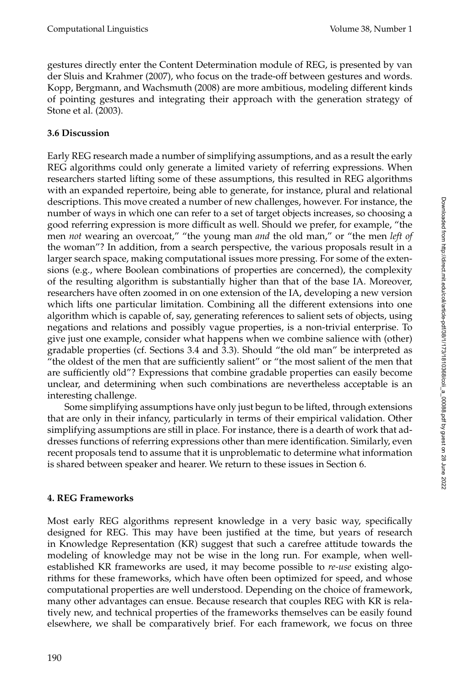gestures directly enter the Content Determination module of REG, is presented by van der Sluis and Krahmer (2007), who focus on the trade-off between gestures and words. Kopp, Bergmann, and Wachsmuth (2008) are more ambitious, modeling different kinds of pointing gestures and integrating their approach with the generation strategy of Stone et al. (2003).

# **3.6 Discussion**

Early REG research made a number of simplifying assumptions, and as a result the early REG algorithms could only generate a limited variety of referring expressions. When researchers started lifting some of these assumptions, this resulted in REG algorithms with an expanded repertoire, being able to generate, for instance, plural and relational descriptions. This move created a number of new challenges, however. For instance, the number of ways in which one can refer to a set of target objects increases, so choosing a good referring expression is more difficult as well. Should we prefer, for example, "the men *not* wearing an overcoat," "the young man *and* the old man," or "the men *left of* the woman"? In addition, from a search perspective, the various proposals result in a larger search space, making computational issues more pressing. For some of the extensions (e.g., where Boolean combinations of properties are concerned), the complexity of the resulting algorithm is substantially higher than that of the base IA. Moreover, researchers have often zoomed in on one extension of the IA, developing a new version which lifts one particular limitation. Combining all the different extensions into one algorithm which is capable of, say, generating references to salient sets of objects, using negations and relations and possibly vague properties, is a non-trivial enterprise. To give just one example, consider what happens when we combine salience with (other) gradable properties (cf. Sections 3.4 and 3.3). Should "the old man" be interpreted as "the oldest of the men that are sufficiently salient" or "the most salient of the men that are sufficiently old"? Expressions that combine gradable properties can easily become unclear, and determining when such combinations are nevertheless acceptable is an interesting challenge.

Some simplifying assumptions have only just begun to be lifted, through extensions that are only in their infancy, particularly in terms of their empirical validation. Other simplifying assumptions are still in place. For instance, there is a dearth of work that addresses functions of referring expressions other than mere identification. Similarly, even recent proposals tend to assume that it is unproblematic to determine what information is shared between speaker and hearer. We return to these issues in Section 6.

# **4. REG Frameworks**

Most early REG algorithms represent knowledge in a very basic way, specifically designed for REG. This may have been justified at the time, but years of research in Knowledge Representation (KR) suggest that such a carefree attitude towards the modeling of knowledge may not be wise in the long run. For example, when wellestablished KR frameworks are used, it may become possible to *re-use* existing algorithms for these frameworks, which have often been optimized for speed, and whose computational properties are well understood. Depending on the choice of framework, many other advantages can ensue. Because research that couples REG with KR is relatively new, and technical properties of the frameworks themselves can be easily found elsewhere, we shall be comparatively brief. For each framework, we focus on three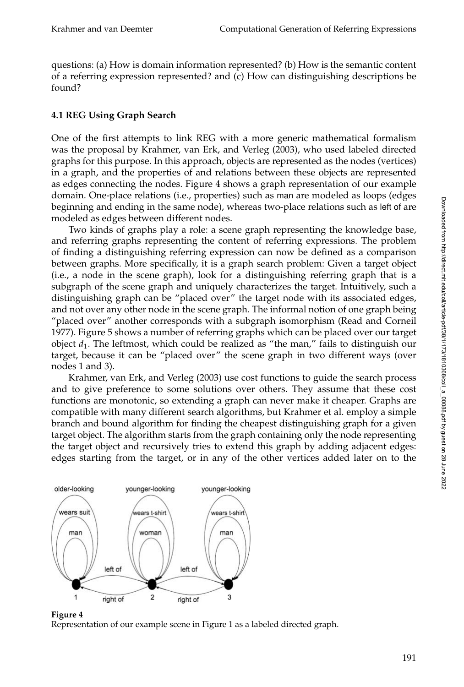questions: (a) How is domain information represented? (b) How is the semantic content of a referring expression represented? and (c) How can distinguishing descriptions be found?

# **4.1 REG Using Graph Search**

One of the first attempts to link REG with a more generic mathematical formalism was the proposal by Krahmer, van Erk, and Verleg (2003), who used labeled directed graphs for this purpose. In this approach, objects are represented as the nodes (vertices) in a graph, and the properties of and relations between these objects are represented as edges connecting the nodes. Figure 4 shows a graph representation of our example domain. One-place relations (i.e., properties) such as man are modeled as loops (edges beginning and ending in the same node), whereas two-place relations such as left of are modeled as edges between different nodes.

Two kinds of graphs play a role: a scene graph representing the knowledge base, and referring graphs representing the content of referring expressions. The problem of finding a distinguishing referring expression can now be defined as a comparison between graphs. More specifically, it is a graph search problem: Given a target object (i.e., a node in the scene graph), look for a distinguishing referring graph that is a subgraph of the scene graph and uniquely characterizes the target. Intuitively, such a distinguishing graph can be "placed over" the target node with its associated edges, and not over any other node in the scene graph. The informal notion of one graph being "placed over" another corresponds with a subgraph isomorphism (Read and Corneil 1977). Figure 5 shows a number of referring graphs which can be placed over our target object *d*1. The leftmost, which could be realized as "the man," fails to distinguish our target, because it can be "placed over" the scene graph in two different ways (over nodes 1 and 3).

Krahmer, van Erk, and Verleg (2003) use cost functions to guide the search process and to give preference to some solutions over others. They assume that these cost functions are monotonic, so extending a graph can never make it cheaper. Graphs are compatible with many different search algorithms, but Krahmer et al. employ a simple branch and bound algorithm for finding the cheapest distinguishing graph for a given target object. The algorithm starts from the graph containing only the node representing the target object and recursively tries to extend this graph by adding adjacent edges: edges starting from the target, or in any of the other vertices added later on to the



#### **Figure 4**

Representation of our example scene in Figure 1 as a labeled directed graph.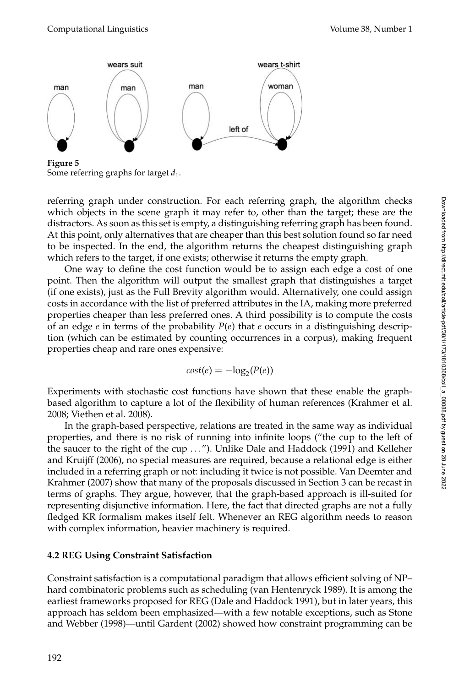

**Figure 5** Some referring graphs for target *d*<sub>1</sub>.

referring graph under construction. For each referring graph, the algorithm checks which objects in the scene graph it may refer to, other than the target; these are the distractors. As soon as this set is empty, a distinguishing referring graph has been found. At this point, only alternatives that are cheaper than this best solution found so far need to be inspected. In the end, the algorithm returns the cheapest distinguishing graph which refers to the target, if one exists; otherwise it returns the empty graph.

One way to define the cost function would be to assign each edge a cost of one point. Then the algorithm will output the smallest graph that distinguishes a target (if one exists), just as the Full Brevity algorithm would. Alternatively, one could assign costs in accordance with the list of preferred attributes in the IA, making more preferred properties cheaper than less preferred ones. A third possibility is to compute the costs of an edge  $e$  in terms of the probability  $P(e)$  that  $e$  occurs in a distinguishing description (which can be estimated by counting occurrences in a corpus), making frequent properties cheap and rare ones expensive:

$$
cost(e) = -\log_2(P(e))
$$

Experiments with stochastic cost functions have shown that these enable the graphbased algorithm to capture a lot of the flexibility of human references (Krahmer et al. 2008; Viethen et al. 2008).

In the graph-based perspective, relations are treated in the same way as individual properties, and there is no risk of running into infinite loops ("the cup to the left of the saucer to the right of the cup . . . "). Unlike Dale and Haddock (1991) and Kelleher and Kruijff (2006), no special measures are required, because a relational edge is either included in a referring graph or not: including it twice is not possible. Van Deemter and Krahmer (2007) show that many of the proposals discussed in Section 3 can be recast in terms of graphs. They argue, however, that the graph-based approach is ill-suited for representing disjunctive information. Here, the fact that directed graphs are not a fully fledged KR formalism makes itself felt. Whenever an REG algorithm needs to reason with complex information, heavier machinery is required.

# **4.2 REG Using Constraint Satisfaction**

Constraint satisfaction is a computational paradigm that allows efficient solving of NP– hard combinatoric problems such as scheduling (van Hentenryck 1989). It is among the earliest frameworks proposed for REG (Dale and Haddock 1991), but in later years, this approach has seldom been emphasized—with a few notable exceptions, such as Stone and Webber (1998)—until Gardent (2002) showed how constraint programming can be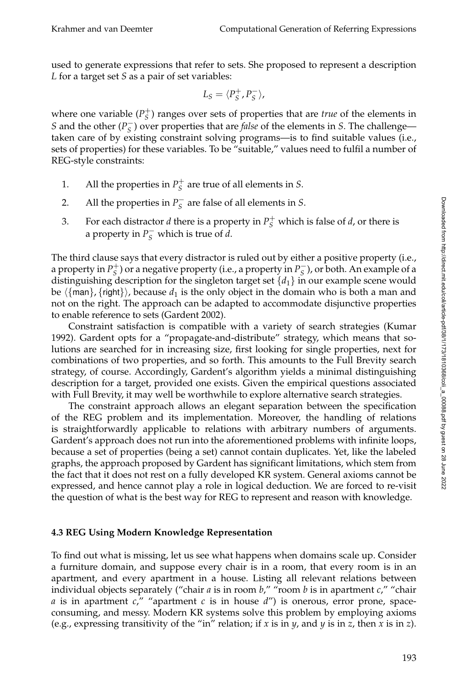used to generate expressions that refer to sets. She proposed to represent a description *L* for a target set *S* as a pair of set variables:

$$
L_S = \langle P_S^+, P_S^- \rangle,
$$

where one variable  $(P_S^+)$  ranges over sets of properties that are *true* of the elements in *S* and the other  $(P_{\overline{S}})$  over properties that are *false* of the elements in *S*. The challenge taken care of by existing constraint solving programs—is to find suitable values (i.e., sets of properties) for these variables. To be "suitable," values need to fulfil a number of REG-style constraints:

- 1. All the properties in  $P_S^+$  are true of all elements in *S*.
- 2. All the properties in  $P_S^-$  are false of all elements in *S*.
- 3. For each distractor *d* there is a property in  $P_S^+$  which is false of *d*, or there is a property in  $P_S^-$  which is true of *d*.

The third clause says that every distractor is ruled out by either a positive property (i.e., a property in *P*<sup>+</sup> *<sup>S</sup>* ) or a negative property (i.e., a property in *P*<sup>−</sup> *<sup>S</sup>* ), or both. An example of a distinguishing description for the singleton target set {*d*1} in our example scene would be  $\langle \{\text{man}\}\rangle$ ,  $\{\text{right}\}\rangle$ , because  $d_1$  is the only object in the domain who is both a man and not on the right. The approach can be adapted to accommodate disjunctive properties to enable reference to sets (Gardent 2002).

Constraint satisfaction is compatible with a variety of search strategies (Kumar 1992). Gardent opts for a "propagate-and-distribute" strategy, which means that solutions are searched for in increasing size, first looking for single properties, next for combinations of two properties, and so forth. This amounts to the Full Brevity search strategy, of course. Accordingly, Gardent's algorithm yields a minimal distinguishing description for a target, provided one exists. Given the empirical questions associated with Full Brevity, it may well be worthwhile to explore alternative search strategies.

The constraint approach allows an elegant separation between the specification of the REG problem and its implementation. Moreover, the handling of relations is straightforwardly applicable to relations with arbitrary numbers of arguments. Gardent's approach does not run into the aforementioned problems with infinite loops, because a set of properties (being a set) cannot contain duplicates. Yet, like the labeled graphs, the approach proposed by Gardent has significant limitations, which stem from the fact that it does not rest on a fully developed KR system. General axioms cannot be expressed, and hence cannot play a role in logical deduction. We are forced to re-visit the question of what is the best way for REG to represent and reason with knowledge.

# **4.3 REG Using Modern Knowledge Representation**

To find out what is missing, let us see what happens when domains scale up. Consider a furniture domain, and suppose every chair is in a room, that every room is in an apartment, and every apartment in a house. Listing all relevant relations between individual objects separately ("chair *a* is in room *b*," "room *b* is in apartment *c*," "chair *a* is in apartment *c*," "apartment *c* is in house *d*") is onerous, error prone, spaceconsuming, and messy. Modern KR systems solve this problem by employing axioms (e.g., expressing transitivity of the "in" relation; if *x* is in *y*, and *y* is in *z*, then *x* is in *z*).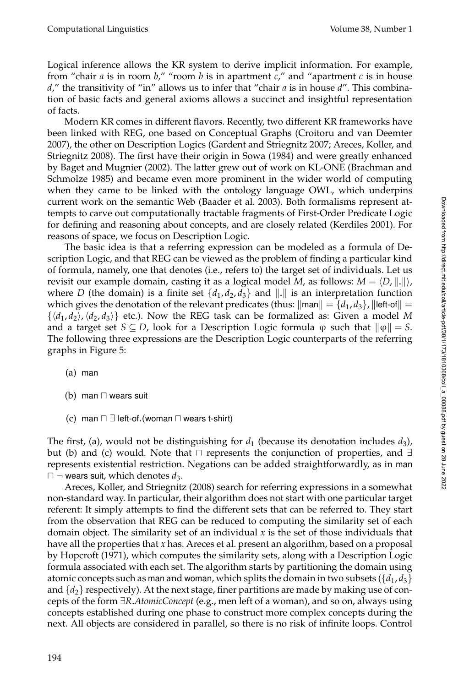Logical inference allows the KR system to derive implicit information. For example, from "chair  $a$  is in room  $b$ ," "room  $b$  is in apartment  $c$ ," and "apartment  $c$  is in house *d*," the transitivity of "in" allows us to infer that "chair *a* is in house *d*". This combination of basic facts and general axioms allows a succinct and insightful representation of facts.

Modern KR comes in different flavors. Recently, two different KR frameworks have been linked with REG, one based on Conceptual Graphs (Croitoru and van Deemter 2007), the other on Description Logics (Gardent and Striegnitz 2007; Areces, Koller, and Striegnitz 2008). The first have their origin in Sowa (1984) and were greatly enhanced by Baget and Mugnier (2002). The latter grew out of work on KL-ONE (Brachman and Schmolze 1985) and became even more prominent in the wider world of computing when they came to be linked with the ontology language OWL, which underpins current work on the semantic Web (Baader et al. 2003). Both formalisms represent attempts to carve out computationally tractable fragments of First-Order Predicate Logic for defining and reasoning about concepts, and are closely related (Kerdiles 2001). For reasons of space, we focus on Description Logic.

The basic idea is that a referring expression can be modeled as a formula of Description Logic, and that REG can be viewed as the problem of finding a particular kind of formula, namely, one that denotes (i.e., refers to) the target set of individuals. Let us revisit our example domain, casting it as a logical model *M*, as follows:  $M = \langle D, ||.|| \rangle$ , where *D* (the domain) is a finite set  $\{d_1, d_2, d_3\}$  and  $\|.\|$  is an interpretation function which gives the denotation of the relevant predicates (thus:  $\|\text{man}\| = \{d_1, d_3\}$ ,  $\|\text{left-off}\| =$  $\{\langle d_1, d_2 \rangle, \langle d_2, d_3 \rangle\}$  etc.). Now the REG task can be formalized as: Given a model M and a target set  $S \subseteq D$ , look for a Description Logic formula  $\varphi$  such that  $\|\varphi\| = S$ . The following three expressions are the Description Logic counterparts of the referring graphs in Figure 5:

- (a) man
- (b) man  $\sqcap$  wears suit
- (c) man  $\Box \exists$  left-of. (woman  $\Box$  wears t-shirt)

The first, (a), would not be distinguishing for  $d_1$  (because its denotation includes  $d_3$ ), but (b) and (c) would. Note that  $\Box$  represents the conjunction of properties, and  $\exists$ represents existential restriction. Negations can be added straightforwardly, as in man  $\Box$   $\lnot$  wears suit, which denotes  $d_3$ .

Areces, Koller, and Striegnitz (2008) search for referring expressions in a somewhat non-standard way. In particular, their algorithm does not start with one particular target referent: It simply attempts to find the different sets that can be referred to. They start from the observation that REG can be reduced to computing the similarity set of each domain object. The similarity set of an individual *x* is the set of those individuals that have all the properties that *x* has. Areces et al. present an algorithm, based on a proposal by Hopcroft (1971), which computes the similarity sets, along with a Description Logic formula associated with each set. The algorithm starts by partitioning the domain using atomic concepts such as man and woman, which splits the domain in two subsets  $\{\{d_1, d_3\}\}\$ and  $\{d_2\}$  respectively). At the next stage, finer partitions are made by making use of concepts of the form ∃*R*.*AtomicConcept* (e.g., men left of a woman), and so on, always using concepts established during one phase to construct more complex concepts during the next. All objects are considered in parallel, so there is no risk of infinite loops. Control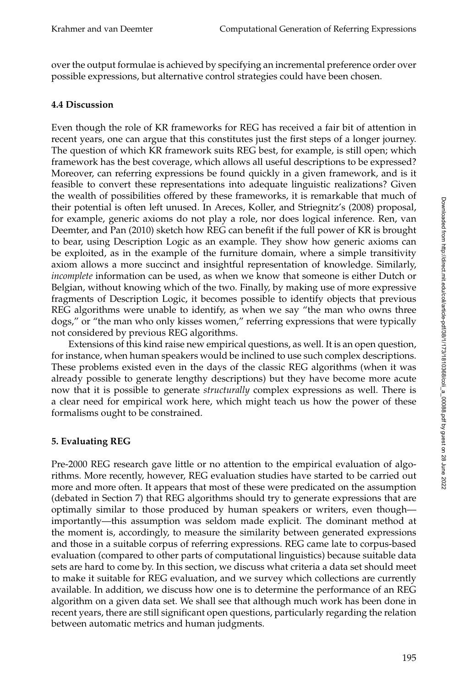over the output formulae is achieved by specifying an incremental preference order over possible expressions, but alternative control strategies could have been chosen.

#### **4.4 Discussion**

Even though the role of KR frameworks for REG has received a fair bit of attention in recent years, one can argue that this constitutes just the first steps of a longer journey. The question of which KR framework suits REG best, for example, is still open; which framework has the best coverage, which allows all useful descriptions to be expressed? Moreover, can referring expressions be found quickly in a given framework, and is it feasible to convert these representations into adequate linguistic realizations? Given the wealth of possibilities offered by these frameworks, it is remarkable that much of their potential is often left unused. In Areces, Koller, and Striegnitz's (2008) proposal, for example, generic axioms do not play a role, nor does logical inference. Ren, van Deemter, and Pan (2010) sketch how REG can benefit if the full power of KR is brought to bear, using Description Logic as an example. They show how generic axioms can be exploited, as in the example of the furniture domain, where a simple transitivity axiom allows a more succinct and insightful representation of knowledge. Similarly, *incomplete* information can be used, as when we know that someone is either Dutch or Belgian, without knowing which of the two. Finally, by making use of more expressive fragments of Description Logic, it becomes possible to identify objects that previous REG algorithms were unable to identify, as when we say "the man who owns three dogs," or "the man who only kisses women," referring expressions that were typically not considered by previous REG algorithms.

Extensions of this kind raise new empirical questions, as well. It is an open question, for instance, when human speakers would be inclined to use such complex descriptions. These problems existed even in the days of the classic REG algorithms (when it was already possible to generate lengthy descriptions) but they have become more acute now that it is possible to generate *structurally* complex expressions as well. There is a clear need for empirical work here, which might teach us how the power of these formalisms ought to be constrained.

#### **5. Evaluating REG**

Pre-2000 REG research gave little or no attention to the empirical evaluation of algorithms. More recently, however, REG evaluation studies have started to be carried out more and more often. It appears that most of these were predicated on the assumption (debated in Section 7) that REG algorithms should try to generate expressions that are optimally similar to those produced by human speakers or writers, even though importantly—this assumption was seldom made explicit. The dominant method at the moment is, accordingly, to measure the similarity between generated expressions and those in a suitable corpus of referring expressions. REG came late to corpus-based evaluation (compared to other parts of computational linguistics) because suitable data sets are hard to come by. In this section, we discuss what criteria a data set should meet to make it suitable for REG evaluation, and we survey which collections are currently available. In addition, we discuss how one is to determine the performance of an REG algorithm on a given data set. We shall see that although much work has been done in recent years, there are still significant open questions, particularly regarding the relation between automatic metrics and human judgments.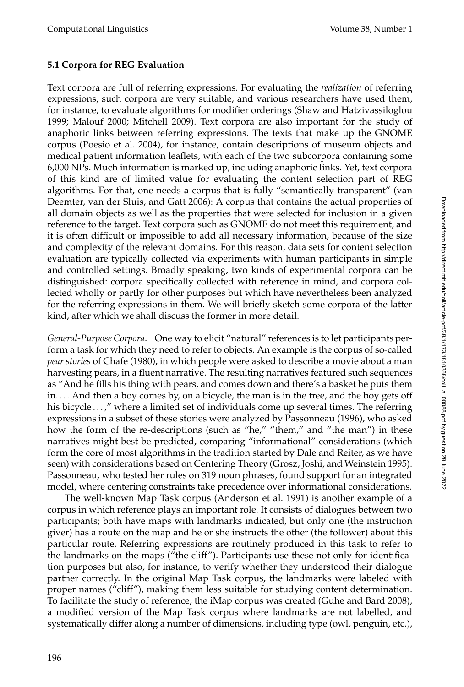# **5.1 Corpora for REG Evaluation**

Text corpora are full of referring expressions. For evaluating the *realization* of referring expressions, such corpora are very suitable, and various researchers have used them, for instance, to evaluate algorithms for modifier orderings (Shaw and Hatzivassiloglou 1999; Malouf 2000; Mitchell 2009). Text corpora are also important for the study of anaphoric links between referring expressions. The texts that make up the GNOME corpus (Poesio et al. 2004), for instance, contain descriptions of museum objects and medical patient information leaflets, with each of the two subcorpora containing some 6,000 NPs. Much information is marked up, including anaphoric links. Yet, text corpora of this kind are of limited value for evaluating the content selection part of REG algorithms. For that, one needs a corpus that is fully "semantically transparent" (van Deemter, van der Sluis, and Gatt 2006): A corpus that contains the actual properties of all domain objects as well as the properties that were selected for inclusion in a given reference to the target. Text corpora such as GNOME do not meet this requirement, and it is often difficult or impossible to add all necessary information, because of the size and complexity of the relevant domains. For this reason, data sets for content selection evaluation are typically collected via experiments with human participants in simple and controlled settings. Broadly speaking, two kinds of experimental corpora can be distinguished: corpora specifically collected with reference in mind, and corpora collected wholly or partly for other purposes but which have nevertheless been analyzed for the referring expressions in them. We will briefly sketch some corpora of the latter kind, after which we shall discuss the former in more detail.

*General-Purpose Corpora*. One way to elicit "natural" references is to let participants perform a task for which they need to refer to objects. An example is the corpus of so-called *pear stories* of Chafe (1980), in which people were asked to describe a movie about a man harvesting pears, in a fluent narrative. The resulting narratives featured such sequences as "And he fills his thing with pears, and comes down and there's a basket he puts them in.... And then a boy comes by, on a bicycle, the man is in the tree, and the boy gets off his bicycle ...," where a limited set of individuals come up several times. The referring expressions in a subset of these stories were analyzed by Passonneau (1996), who asked how the form of the re-descriptions (such as "he," "them," and "the man") in these narratives might best be predicted, comparing "informational" considerations (which form the core of most algorithms in the tradition started by Dale and Reiter, as we have seen) with considerations based on Centering Theory (Grosz, Joshi, and Weinstein 1995). Passonneau, who tested her rules on 319 noun phrases, found support for an integrated model, where centering constraints take precedence over informational considerations.

The well-known Map Task corpus (Anderson et al. 1991) is another example of a corpus in which reference plays an important role. It consists of dialogues between two participants; both have maps with landmarks indicated, but only one (the instruction giver) has a route on the map and he or she instructs the other (the follower) about this particular route. Referring expressions are routinely produced in this task to refer to the landmarks on the maps ("the cliff"). Participants use these not only for identification purposes but also, for instance, to verify whether they understood their dialogue partner correctly. In the original Map Task corpus, the landmarks were labeled with proper names ("cliff"), making them less suitable for studying content determination. To facilitate the study of reference, the iMap corpus was created (Guhe and Bard 2008), a modified version of the Map Task corpus where landmarks are not labelled, and systematically differ along a number of dimensions, including type (owl, penguin, etc.),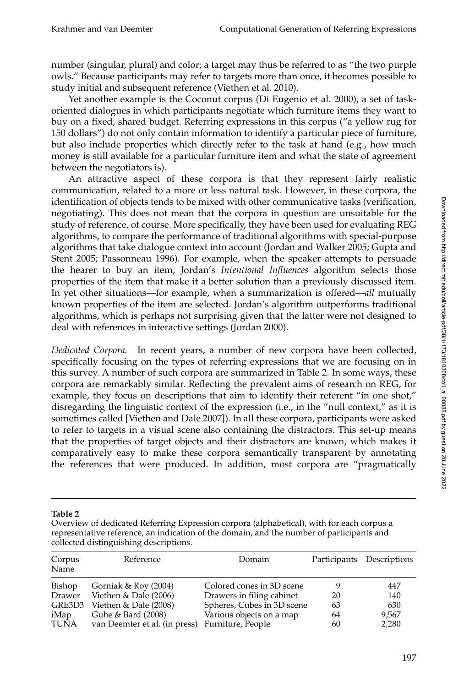number (singular, plural) and color; a target may thus be referred to as "the two purple owls." Because participants may refer to targets more than once, it becomes possible to study initial and subsequent reference (Viethen et al. 2010).

Yet another example is the Coconut corpus (Di Eugenio et al. 2000), a set of taskoriented dialogues in which participants negotiate which furniture items they want to buy on a fixed, shared budget. Referring expressions in this corpus ("a yellow rug for 150 dollars") do not only contain information to identify a particular piece of furniture, but also include properties which directly refer to the task at hand (e.g., how much money is still available for a particular furniture item and what the state of agreement between the negotiators is).

An attractive aspect of these corpora is that they represent fairly realistic communication, related to a more or less natural task. However, in these corpora, the identification of objects tends to be mixed with other communicative tasks (verification, negotiating). This does not mean that the corpora in question are unsuitable for the study of reference, of course. More specifically, they have been used for evaluating REG algorithms, to compare the performance of traditional algorithms with special-purpose algorithms that take dialogue context into account (Jordan and Walker 2005; Gupta and Stent 2005; Passonneau 1996). For example, when the speaker attempts to persuade the hearer to buy an item, Jordan's *Intentional Influences* algorithm selects those properties of the item that make it a better solution than a previously discussed item. In yet other situations—for example, when a summarization is offered—*all* mutually known properties of the item are selected. Jordan's algorithm outperforms traditional algorithms, which is perhaps not surprising given that the latter were not designed to deal with references in interactive settings (Jordan 2000).

*Dedicated Corpora.* In recent years, a number of new corpora have been collected, specifically focusing on the types of referring expressions that we are focusing on in this survey. A number of such corpora are summarized in Table 2. In some ways, these corpora are remarkably similar. Reflecting the prevalent aims of research on REG, for example, they focus on descriptions that aim to identify their referent "in one shot," disregarding the linguistic context of the expression (i.e., in the "null context," as it is sometimes called [Viethen and Dale 2007]). In all these corpora, participants were asked to refer to targets in a visual scene also containing the distractors. This set-up means that the properties of target objects and their distractors are known, which makes it comparatively easy to make these corpora semantically transparent by annotating the references that were produced. In addition, most corpora are "pragmatically

**Table 2**

Overview of dedicated Referring Expression corpora (alphabetical), with for each corpus a representative reference, an indication of the domain, and the number of participants and collected distinguishing descriptions.

| Corpus<br>Name                             | Reference                                                                                                                       | Domain                                                                                                                                |                      | Participants Descriptions           |
|--------------------------------------------|---------------------------------------------------------------------------------------------------------------------------------|---------------------------------------------------------------------------------------------------------------------------------------|----------------------|-------------------------------------|
| Bishop<br>Drawer<br>GRE3D3<br>iMap<br>TUNA | Gorniak & Roy (2004)<br>Viethen $&$ Dale (2006)<br>Viethen & Dale (2008)<br>Guhe & Bard (2008)<br>van Deemter et al. (in press) | Colored cones in 3D scene<br>Drawers in filing cabinet<br>Spheres, Cubes in 3D scene<br>Various objects on a map<br>Furniture, People | 20<br>63<br>64<br>60 | 447<br>140<br>630<br>9,567<br>2,280 |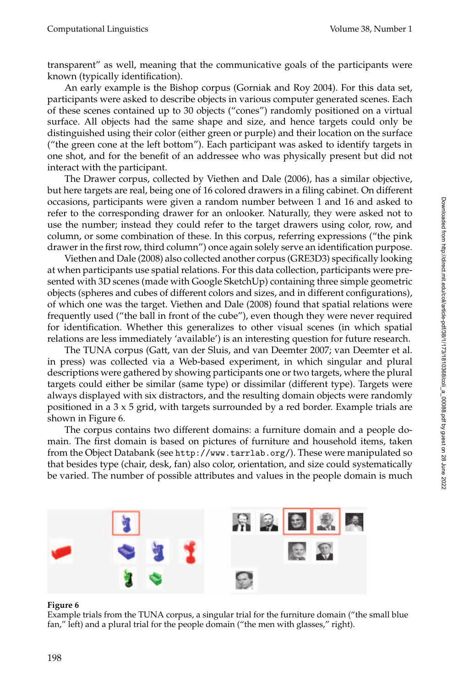transparent" as well, meaning that the communicative goals of the participants were known (typically identification).

An early example is the Bishop corpus (Gorniak and Roy 2004). For this data set, participants were asked to describe objects in various computer generated scenes. Each of these scenes contained up to 30 objects ("cones") randomly positioned on a virtual surface. All objects had the same shape and size, and hence targets could only be distinguished using their color (either green or purple) and their location on the surface ("the green cone at the left bottom"). Each participant was asked to identify targets in one shot, and for the benefit of an addressee who was physically present but did not interact with the participant.

The Drawer corpus, collected by Viethen and Dale (2006), has a similar objective, but here targets are real, being one of 16 colored drawers in a filing cabinet. On different occasions, participants were given a random number between 1 and 16 and asked to refer to the corresponding drawer for an onlooker. Naturally, they were asked not to use the number; instead they could refer to the target drawers using color, row, and column, or some combination of these. In this corpus, referring expressions ("the pink drawer in the first row, third column") once again solely serve an identification purpose.

Viethen and Dale (2008) also collected another corpus (GRE3D3) specifically looking at when participants use spatial relations. For this data collection, participants were presented with 3D scenes (made with Google SketchUp) containing three simple geometric objects (spheres and cubes of different colors and sizes, and in different configurations), of which one was the target. Viethen and Dale (2008) found that spatial relations were frequently used ("the ball in front of the cube"), even though they were never required for identification. Whether this generalizes to other visual scenes (in which spatial relations are less immediately 'available') is an interesting question for future research.

The TUNA corpus (Gatt, van der Sluis, and van Deemter 2007; van Deemter et al. in press) was collected via a Web-based experiment, in which singular and plural descriptions were gathered by showing participants one or two targets, where the plural targets could either be similar (same type) or dissimilar (different type). Targets were always displayed with six distractors, and the resulting domain objects were randomly positioned in a 3 x 5 grid, with targets surrounded by a red border. Example trials are shown in Figure 6.

The corpus contains two different domains: a furniture domain and a people domain. The first domain is based on pictures of furniture and household items, taken from the Object Databank (see http://www.tarrlab.org/). These were manipulated so that besides type (chair, desk, fan) also color, orientation, and size could systematically be varied. The number of possible attributes and values in the people domain is much



#### **Figure 6**

Example trials from the TUNA corpus, a singular trial for the furniture domain ("the small blue fan," left) and a plural trial for the people domain ("the men with glasses," right).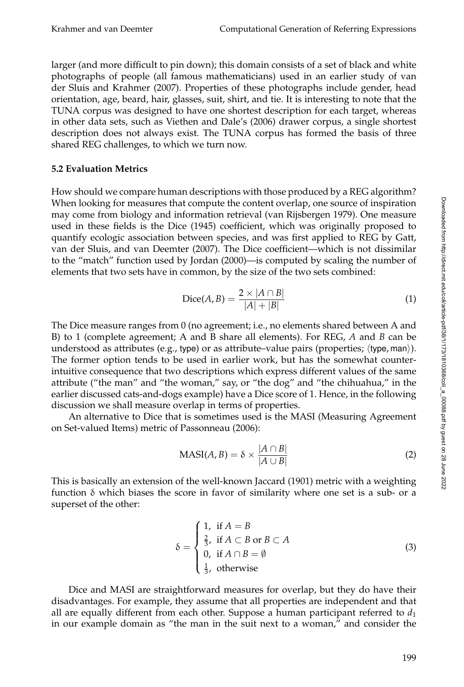larger (and more difficult to pin down); this domain consists of a set of black and white photographs of people (all famous mathematicians) used in an earlier study of van der Sluis and Krahmer (2007). Properties of these photographs include gender, head orientation, age, beard, hair, glasses, suit, shirt, and tie. It is interesting to note that the TUNA corpus was designed to have one shortest description for each target, whereas in other data sets, such as Viethen and Dale's (2006) drawer corpus, a single shortest description does not always exist. The TUNA corpus has formed the basis of three shared REG challenges, to which we turn now.

#### **5.2 Evaluation Metrics**

How should we compare human descriptions with those produced by a REG algorithm? When looking for measures that compute the content overlap, one source of inspiration may come from biology and information retrieval (van Rijsbergen 1979). One measure used in these fields is the Dice (1945) coefficient, which was originally proposed to quantify ecologic association between species, and was first applied to REG by Gatt, van der Sluis, and van Deemter (2007). The Dice coefficient—which is not dissimilar to the "match" function used by Jordan (2000)—is computed by scaling the number of elements that two sets have in common, by the size of the two sets combined:

$$
Dice(A, B) = \frac{2 \times |A \cap B|}{|A| + |B|}
$$
 (1)

The Dice measure ranges from 0 (no agreement; i.e., no elements shared between A and B) to 1 (complete agreement; A and B share all elements). For REG, *A* and *B* can be understood as attributes (e.g., type) or as attribute–value pairs (properties;  $\langle$ type, man $\rangle$ ). The former option tends to be used in earlier work, but has the somewhat counterintuitive consequence that two descriptions which express different values of the same attribute ("the man" and "the woman," say, or "the dog" and "the chihuahua," in the earlier discussed cats-and-dogs example) have a Dice score of 1. Hence, in the following discussion we shall measure overlap in terms of properties.

An alternative to Dice that is sometimes used is the MASI (Measuring Agreement on Set-valued Items) metric of Passonneau (2006):

$$
MASI(A, B) = \delta \times \frac{|A \cap B|}{|A \cup B|}
$$
 (2)

This is basically an extension of the well-known Jaccard (1901) metric with a weighting function δ which biases the score in favor of similarity where one set is a sub- or a superset of the other:

$$
\delta = \begin{cases}\n1, & \text{if } A = B \\
\frac{2}{3}, & \text{if } A \subset B \text{ or } B \subset A \\
0, & \text{if } A \cap B = \emptyset \\
\frac{1}{3}, & \text{otherwise}\n\end{cases}
$$
\n(3)

Dice and MASI are straightforward measures for overlap, but they do have their disadvantages. For example, they assume that all properties are independent and that all are equally different from each other. Suppose a human participant referred to  $d_1$ in our example domain as "the man in the suit next to a woman," and consider the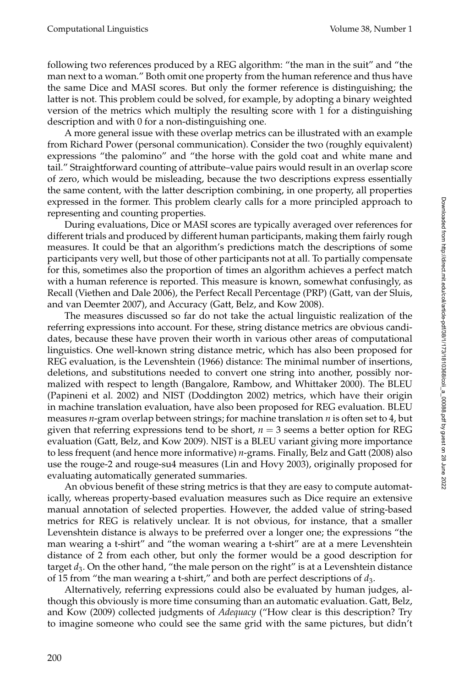following two references produced by a REG algorithm: "the man in the suit" and "the man next to a woman." Both omit one property from the human reference and thus have the same Dice and MASI scores. But only the former reference is distinguishing; the latter is not. This problem could be solved, for example, by adopting a binary weighted version of the metrics which multiply the resulting score with 1 for a distinguishing description and with 0 for a non-distinguishing one.

A more general issue with these overlap metrics can be illustrated with an example from Richard Power (personal communication). Consider the two (roughly equivalent) expressions "the palomino" and "the horse with the gold coat and white mane and tail." Straightforward counting of attribute–value pairs would result in an overlap score of zero, which would be misleading, because the two descriptions express essentially the same content, with the latter description combining, in one property, all properties expressed in the former. This problem clearly calls for a more principled approach to representing and counting properties.

During evaluations, Dice or MASI scores are typically averaged over references for different trials and produced by different human participants, making them fairly rough measures. It could be that an algorithm's predictions match the descriptions of some participants very well, but those of other participants not at all. To partially compensate for this, sometimes also the proportion of times an algorithm achieves a perfect match with a human reference is reported. This measure is known, somewhat confusingly, as Recall (Viethen and Dale 2006), the Perfect Recall Percentage (PRP) (Gatt, van der Sluis, and van Deemter 2007), and Accuracy (Gatt, Belz, and Kow 2008).

The measures discussed so far do not take the actual linguistic realization of the referring expressions into account. For these, string distance metrics are obvious candidates, because these have proven their worth in various other areas of computational linguistics. One well-known string distance metric, which has also been proposed for REG evaluation, is the Levenshtein (1966) distance: The minimal number of insertions, deletions, and substitutions needed to convert one string into another, possibly normalized with respect to length (Bangalore, Rambow, and Whittaker 2000). The BLEU (Papineni et al. 2002) and NIST (Doddington 2002) metrics, which have their origin in machine translation evaluation, have also been proposed for REG evaluation. BLEU measures *n*-gram overlap between strings; for machine translation *n* is often set to 4, but given that referring expressions tend to be short,  $n = 3$  seems a better option for REG evaluation (Gatt, Belz, and Kow 2009). NIST is a BLEU variant giving more importance to less frequent (and hence more informative) *n*-grams. Finally, Belz and Gatt (2008) also use the rouge-2 and rouge-su4 measures (Lin and Hovy 2003), originally proposed for evaluating automatically generated summaries.

An obvious benefit of these string metrics is that they are easy to compute automatically, whereas property-based evaluation measures such as Dice require an extensive manual annotation of selected properties. However, the added value of string-based metrics for REG is relatively unclear. It is not obvious, for instance, that a smaller Levenshtein distance is always to be preferred over a longer one; the expressions "the man wearing a t-shirt" and "the woman wearing a t-shirt" are at a mere Levenshtein distance of 2 from each other, but only the former would be a good description for target  $d_3$ . On the other hand, "the male person on the right" is at a Levenshtein distance of 15 from "the man wearing a t-shirt," and both are perfect descriptions of *d*3.

Alternatively, referring expressions could also be evaluated by human judges, although this obviously is more time consuming than an automatic evaluation. Gatt, Belz, and Kow (2009) collected judgments of *Adequacy* ("How clear is this description? Try to imagine someone who could see the same grid with the same pictures, but didn't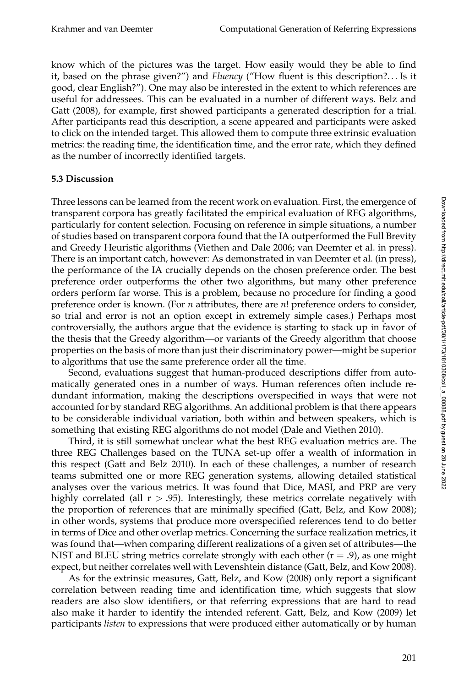know which of the pictures was the target. How easily would they be able to find it, based on the phrase given?") and *Fluency* ("How fluent is this description?. . . Is it good, clear English?"). One may also be interested in the extent to which references are useful for addressees. This can be evaluated in a number of different ways. Belz and Gatt (2008), for example, first showed participants a generated description for a trial. After participants read this description, a scene appeared and participants were asked to click on the intended target. This allowed them to compute three extrinsic evaluation metrics: the reading time, the identification time, and the error rate, which they defined as the number of incorrectly identified targets.

#### **5.3 Discussion**

Three lessons can be learned from the recent work on evaluation. First, the emergence of transparent corpora has greatly facilitated the empirical evaluation of REG algorithms, particularly for content selection. Focusing on reference in simple situations, a number of studies based on transparent corpora found that the IA outperformed the Full Brevity and Greedy Heuristic algorithms (Viethen and Dale 2006; van Deemter et al. in press). There is an important catch, however: As demonstrated in van Deemter et al. (in press), the performance of the IA crucially depends on the chosen preference order. The best preference order outperforms the other two algorithms, but many other preference orders perform far worse. This is a problem, because no procedure for finding a good preference order is known. (For *n* attributes, there are *n*! preference orders to consider, so trial and error is not an option except in extremely simple cases.) Perhaps most controversially, the authors argue that the evidence is starting to stack up in favor of the thesis that the Greedy algorithm—or variants of the Greedy algorithm that choose properties on the basis of more than just their discriminatory power—might be superior to algorithms that use the same preference order all the time.

Second, evaluations suggest that human-produced descriptions differ from automatically generated ones in a number of ways. Human references often include redundant information, making the descriptions overspecified in ways that were not accounted for by standard REG algorithms. An additional problem is that there appears to be considerable individual variation, both within and between speakers, which is something that existing REG algorithms do not model (Dale and Viethen 2010).

Third, it is still somewhat unclear what the best REG evaluation metrics are. The three REG Challenges based on the TUNA set-up offer a wealth of information in this respect (Gatt and Belz 2010). In each of these challenges, a number of research teams submitted one or more REG generation systems, allowing detailed statistical analyses over the various metrics. It was found that Dice, MASI, and PRP are very highly correlated (all  $r > .95$ ). Interestingly, these metrics correlate negatively with the proportion of references that are minimally specified (Gatt, Belz, and Kow 2008); in other words, systems that produce more overspecified references tend to do better in terms of Dice and other overlap metrics. Concerning the surface realization metrics, it was found that—when comparing different realizations of a given set of attributes—the NIST and BLEU string metrics correlate strongly with each other  $(r = .9)$ , as one might expect, but neither correlates well with Levenshtein distance (Gatt, Belz, and Kow 2008).

As for the extrinsic measures, Gatt, Belz, and Kow (2008) only report a significant correlation between reading time and identification time, which suggests that slow readers are also slow identifiers, or that referring expressions that are hard to read also make it harder to identify the intended referent. Gatt, Belz, and Kow (2009) let participants *listen* to expressions that were produced either automatically or by human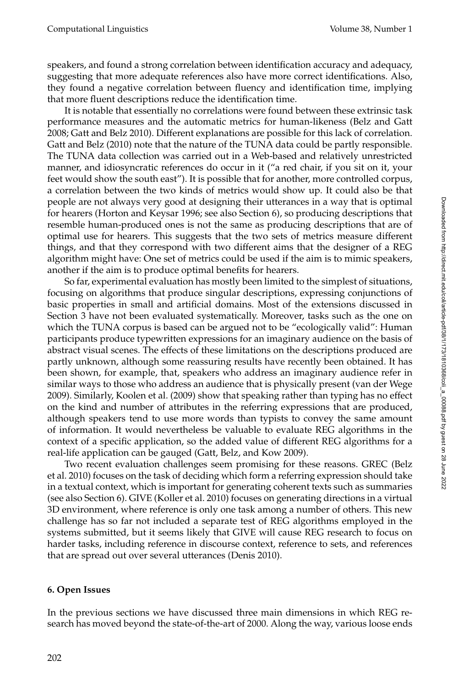speakers, and found a strong correlation between identification accuracy and adequacy, suggesting that more adequate references also have more correct identifications. Also, they found a negative correlation between fluency and identification time, implying that more fluent descriptions reduce the identification time.

It is notable that essentially no correlations were found between these extrinsic task performance measures and the automatic metrics for human-likeness (Belz and Gatt 2008; Gatt and Belz 2010). Different explanations are possible for this lack of correlation. Gatt and Belz (2010) note that the nature of the TUNA data could be partly responsible. The TUNA data collection was carried out in a Web-based and relatively unrestricted manner, and idiosyncratic references do occur in it ("a red chair, if you sit on it, your feet would show the south east"). It is possible that for another, more controlled corpus, a correlation between the two kinds of metrics would show up. It could also be that people are not always very good at designing their utterances in a way that is optimal for hearers (Horton and Keysar 1996; see also Section 6), so producing descriptions that resemble human-produced ones is not the same as producing descriptions that are of optimal use for hearers. This suggests that the two sets of metrics measure different things, and that they correspond with two different aims that the designer of a REG algorithm might have: One set of metrics could be used if the aim is to mimic speakers, another if the aim is to produce optimal benefits for hearers.

So far, experimental evaluation has mostly been limited to the simplest of situations, focusing on algorithms that produce singular descriptions, expressing conjunctions of basic properties in small and artificial domains. Most of the extensions discussed in Section 3 have not been evaluated systematically. Moreover, tasks such as the one on which the TUNA corpus is based can be argued not to be "ecologically valid": Human participants produce typewritten expressions for an imaginary audience on the basis of abstract visual scenes. The effects of these limitations on the descriptions produced are partly unknown, although some reassuring results have recently been obtained. It has been shown, for example, that, speakers who address an imaginary audience refer in similar ways to those who address an audience that is physically present (van der Wege 2009). Similarly, Koolen et al. (2009) show that speaking rather than typing has no effect on the kind and number of attributes in the referring expressions that are produced, although speakers tend to use more words than typists to convey the same amount of information. It would nevertheless be valuable to evaluate REG algorithms in the context of a specific application, so the added value of different REG algorithms for a real-life application can be gauged (Gatt, Belz, and Kow 2009).

Two recent evaluation challenges seem promising for these reasons. GREC (Belz et al. 2010) focuses on the task of deciding which form a referring expression should take in a textual context, which is important for generating coherent texts such as summaries (see also Section 6). GIVE (Koller et al. 2010) focuses on generating directions in a virtual 3D environment, where reference is only one task among a number of others. This new challenge has so far not included a separate test of REG algorithms employed in the systems submitted, but it seems likely that GIVE will cause REG research to focus on harder tasks, including reference in discourse context, reference to sets, and references that are spread out over several utterances (Denis 2010).

#### **6. Open Issues**

In the previous sections we have discussed three main dimensions in which REG research has moved beyond the state-of-the-art of 2000. Along the way, various loose ends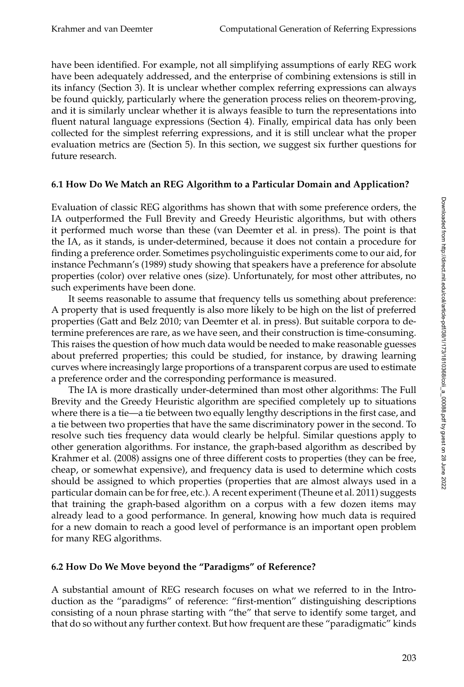have been identified. For example, not all simplifying assumptions of early REG work have been adequately addressed, and the enterprise of combining extensions is still in its infancy (Section 3). It is unclear whether complex referring expressions can always be found quickly, particularly where the generation process relies on theorem-proving, and it is similarly unclear whether it is always feasible to turn the representations into fluent natural language expressions (Section 4). Finally, empirical data has only been collected for the simplest referring expressions, and it is still unclear what the proper evaluation metrics are (Section 5). In this section, we suggest six further questions for future research.

#### **6.1 How Do We Match an REG Algorithm to a Particular Domain and Application?**

Evaluation of classic REG algorithms has shown that with some preference orders, the IA outperformed the Full Brevity and Greedy Heuristic algorithms, but with others it performed much worse than these (van Deemter et al. in press). The point is that the IA, as it stands, is under-determined, because it does not contain a procedure for finding a preference order. Sometimes psycholinguistic experiments come to our aid, for instance Pechmann's (1989) study showing that speakers have a preference for absolute properties (color) over relative ones (size). Unfortunately, for most other attributes, no such experiments have been done.

It seems reasonable to assume that frequency tells us something about preference: A property that is used frequently is also more likely to be high on the list of preferred properties (Gatt and Belz 2010; van Deemter et al. in press). But suitable corpora to determine preferences are rare, as we have seen, and their construction is time-consuming. This raises the question of how much data would be needed to make reasonable guesses about preferred properties; this could be studied, for instance, by drawing learning curves where increasingly large proportions of a transparent corpus are used to estimate a preference order and the corresponding performance is measured.

The IA is more drastically under-determined than most other algorithms: The Full Brevity and the Greedy Heuristic algorithm are specified completely up to situations where there is a tie—a tie between two equally lengthy descriptions in the first case, and a tie between two properties that have the same discriminatory power in the second. To resolve such ties frequency data would clearly be helpful. Similar questions apply to other generation algorithms. For instance, the graph-based algorithm as described by Krahmer et al. (2008) assigns one of three different costs to properties (they can be free, cheap, or somewhat expensive), and frequency data is used to determine which costs should be assigned to which properties (properties that are almost always used in a particular domain can be for free, etc.). A recent experiment (Theune et al. 2011) suggests that training the graph-based algorithm on a corpus with a few dozen items may already lead to a good performance. In general, knowing how much data is required for a new domain to reach a good level of performance is an important open problem for many REG algorithms.

#### **6.2 How Do We Move beyond the "Paradigms" of Reference?**

A substantial amount of REG research focuses on what we referred to in the Introduction as the "paradigms" of reference: "first-mention" distinguishing descriptions consisting of a noun phrase starting with "the" that serve to identify some target, and that do so without any further context. But how frequent are these "paradigmatic" kinds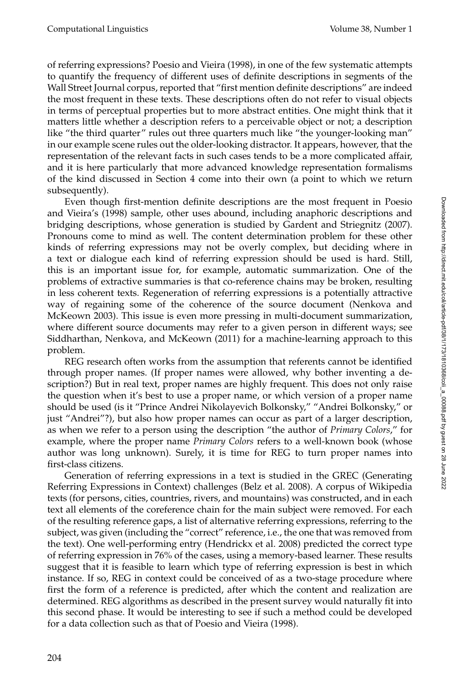of referring expressions? Poesio and Vieira (1998), in one of the few systematic attempts to quantify the frequency of different uses of definite descriptions in segments of the Wall Street Journal corpus, reported that "first mention definite descriptions" are indeed the most frequent in these texts. These descriptions often do not refer to visual objects in terms of perceptual properties but to more abstract entities. One might think that it matters little whether a description refers to a perceivable object or not; a description like "the third quarter" rules out three quarters much like "the younger-looking man" in our example scene rules out the older-looking distractor. It appears, however, that the representation of the relevant facts in such cases tends to be a more complicated affair, and it is here particularly that more advanced knowledge representation formalisms of the kind discussed in Section 4 come into their own (a point to which we return subsequently).

Even though first-mention definite descriptions are the most frequent in Poesio and Vieira's (1998) sample, other uses abound, including anaphoric descriptions and bridging descriptions, whose generation is studied by Gardent and Striegnitz (2007). Pronouns come to mind as well. The content determination problem for these other kinds of referring expressions may not be overly complex, but deciding where in a text or dialogue each kind of referring expression should be used is hard. Still, this is an important issue for, for example, automatic summarization. One of the problems of extractive summaries is that co-reference chains may be broken, resulting in less coherent texts. Regeneration of referring expressions is a potentially attractive way of regaining some of the coherence of the source document (Nenkova and McKeown 2003). This issue is even more pressing in multi-document summarization, where different source documents may refer to a given person in different ways; see Siddharthan, Nenkova, and McKeown (2011) for a machine-learning approach to this problem.

REG research often works from the assumption that referents cannot be identified through proper names. (If proper names were allowed, why bother inventing a description?) But in real text, proper names are highly frequent. This does not only raise the question when it's best to use a proper name, or which version of a proper name should be used (is it "Prince Andrei Nikolayevich Bolkonsky," "Andrei Bolkonsky," or just "Andrei"?), but also how proper names can occur as part of a larger description, as when we refer to a person using the description "the author of *Primary Colors*," for example, where the proper name *Primary Colors* refers to a well-known book (whose author was long unknown). Surely, it is time for REG to turn proper names into first-class citizens.

Generation of referring expressions in a text is studied in the GREC (Generating Referring Expressions in Context) challenges (Belz et al. 2008). A corpus of Wikipedia texts (for persons, cities, countries, rivers, and mountains) was constructed, and in each text all elements of the coreference chain for the main subject were removed. For each of the resulting reference gaps, a list of alternative referring expressions, referring to the subject, was given (including the "correct" reference, i.e., the one that was removed from the text). One well-performing entry (Hendrickx et al. 2008) predicted the correct type of referring expression in 76% of the cases, using a memory-based learner. These results suggest that it is feasible to learn which type of referring expression is best in which instance. If so, REG in context could be conceived of as a two-stage procedure where first the form of a reference is predicted, after which the content and realization are determined. REG algorithms as described in the present survey would naturally fit into this second phase. It would be interesting to see if such a method could be developed for a data collection such as that of Poesio and Vieira (1998).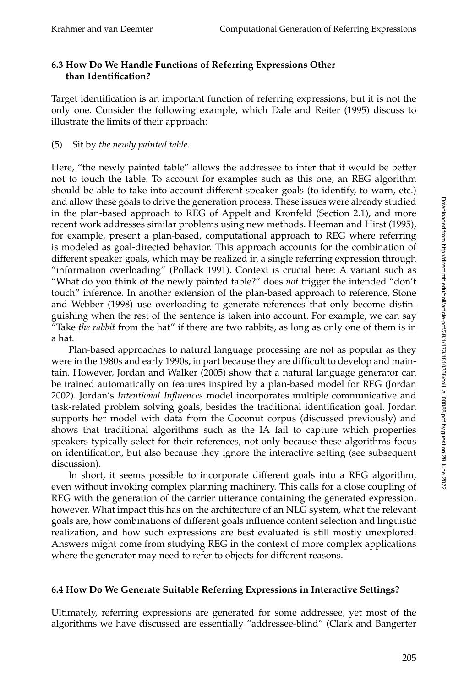# **6.3 How Do We Handle Functions of Referring Expressions Other than Identification?**

Target identification is an important function of referring expressions, but it is not the only one. Consider the following example, which Dale and Reiter (1995) discuss to illustrate the limits of their approach:

#### (5) Sit by *the newly painted table*.

Here, "the newly painted table" allows the addressee to infer that it would be better not to touch the table. To account for examples such as this one, an REG algorithm should be able to take into account different speaker goals (to identify, to warn, etc.) and allow these goals to drive the generation process. These issues were already studied in the plan-based approach to REG of Appelt and Kronfeld (Section 2.1), and more recent work addresses similar problems using new methods. Heeman and Hirst (1995), for example, present a plan-based, computational approach to REG where referring is modeled as goal-directed behavior. This approach accounts for the combination of different speaker goals, which may be realized in a single referring expression through "information overloading" (Pollack 1991). Context is crucial here: A variant such as "What do you think of the newly painted table?" does *not* trigger the intended "don't touch" inference. In another extension of the plan-based approach to reference, Stone and Webber (1998) use overloading to generate references that only become distinguishing when the rest of the sentence is taken into account. For example, we can say "Take *the rabbit* from the hat" if there are two rabbits, as long as only one of them is in a hat.

Plan-based approaches to natural language processing are not as popular as they were in the 1980s and early 1990s, in part because they are difficult to develop and maintain. However, Jordan and Walker (2005) show that a natural language generator can be trained automatically on features inspired by a plan-based model for REG (Jordan 2002). Jordan's *Intentional Influences* model incorporates multiple communicative and task-related problem solving goals, besides the traditional identification goal. Jordan supports her model with data from the Coconut corpus (discussed previously) and shows that traditional algorithms such as the IA fail to capture which properties speakers typically select for their references, not only because these algorithms focus on identification, but also because they ignore the interactive setting (see subsequent discussion).

In short, it seems possible to incorporate different goals into a REG algorithm, even without invoking complex planning machinery. This calls for a close coupling of REG with the generation of the carrier utterance containing the generated expression, however. What impact this has on the architecture of an NLG system, what the relevant goals are, how combinations of different goals influence content selection and linguistic realization, and how such expressions are best evaluated is still mostly unexplored. Answers might come from studying REG in the context of more complex applications where the generator may need to refer to objects for different reasons.

# **6.4 How Do We Generate Suitable Referring Expressions in Interactive Settings?**

Ultimately, referring expressions are generated for some addressee, yet most of the algorithms we have discussed are essentially "addressee-blind" (Clark and Bangerter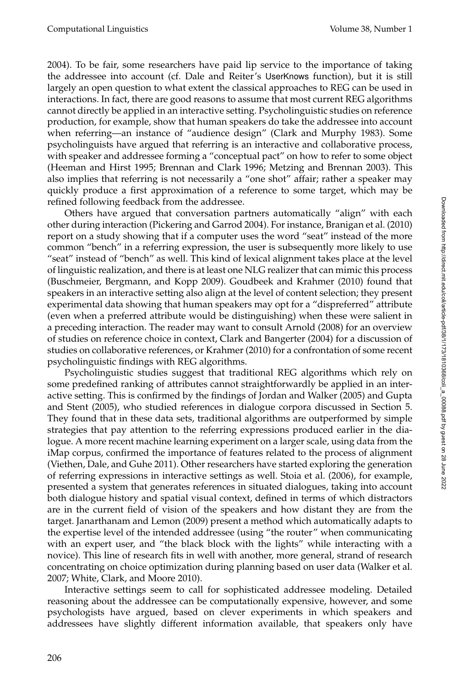2004). To be fair, some researchers have paid lip service to the importance of taking the addressee into account (cf. Dale and Reiter's UserKnows function), but it is still largely an open question to what extent the classical approaches to REG can be used in interactions. In fact, there are good reasons to assume that most current REG algorithms cannot directly be applied in an interactive setting. Psycholinguistic studies on reference production, for example, show that human speakers do take the addressee into account when referring—an instance of "audience design" (Clark and Murphy 1983). Some psycholinguists have argued that referring is an interactive and collaborative process, with speaker and addressee forming a "conceptual pact" on how to refer to some object (Heeman and Hirst 1995; Brennan and Clark 1996; Metzing and Brennan 2003). This also implies that referring is not necessarily a "one shot" affair; rather a speaker may quickly produce a first approximation of a reference to some target, which may be refined following feedback from the addressee.

Others have argued that conversation partners automatically "align" with each other during interaction (Pickering and Garrod 2004). For instance, Branigan et al. (2010) report on a study showing that if a computer uses the word "seat" instead of the more common "bench" in a referring expression, the user is subsequently more likely to use "seat" instead of "bench" as well. This kind of lexical alignment takes place at the level of linguistic realization, and there is at least one NLG realizer that can mimic this process (Buschmeier, Bergmann, and Kopp 2009). Goudbeek and Krahmer (2010) found that speakers in an interactive setting also align at the level of content selection; they present experimental data showing that human speakers may opt for a "dispreferred" attribute (even when a preferred attribute would be distinguishing) when these were salient in a preceding interaction. The reader may want to consult Arnold (2008) for an overview of studies on reference choice in context, Clark and Bangerter (2004) for a discussion of studies on collaborative references, or Krahmer (2010) for a confrontation of some recent psycholinguistic findings with REG algorithms.

Psycholinguistic studies suggest that traditional REG algorithms which rely on some predefined ranking of attributes cannot straightforwardly be applied in an interactive setting. This is confirmed by the findings of Jordan and Walker (2005) and Gupta and Stent (2005), who studied references in dialogue corpora discussed in Section 5. They found that in these data sets, traditional algorithms are outperformed by simple strategies that pay attention to the referring expressions produced earlier in the dialogue. A more recent machine learning experiment on a larger scale, using data from the iMap corpus, confirmed the importance of features related to the process of alignment (Viethen, Dale, and Guhe 2011). Other researchers have started exploring the generation of referring expressions in interactive settings as well. Stoia et al. (2006), for example, presented a system that generates references in situated dialogues, taking into account both dialogue history and spatial visual context, defined in terms of which distractors are in the current field of vision of the speakers and how distant they are from the target. Janarthanam and Lemon (2009) present a method which automatically adapts to the expertise level of the intended addressee (using "the router" when communicating with an expert user, and "the black block with the lights" while interacting with a novice). This line of research fits in well with another, more general, strand of research concentrating on choice optimization during planning based on user data (Walker et al. 2007; White, Clark, and Moore 2010).

Interactive settings seem to call for sophisticated addressee modeling. Detailed reasoning about the addressee can be computationally expensive, however, and some psychologists have argued, based on clever experiments in which speakers and addressees have slightly different information available, that speakers only have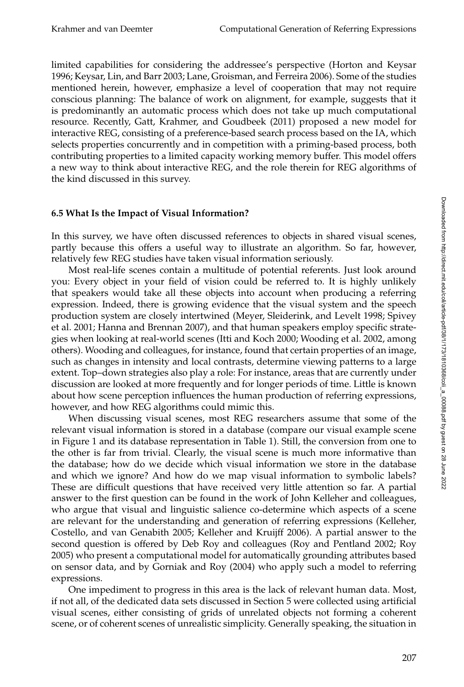limited capabilities for considering the addressee's perspective (Horton and Keysar 1996; Keysar, Lin, and Barr 2003; Lane, Groisman, and Ferreira 2006). Some of the studies mentioned herein, however, emphasize a level of cooperation that may not require conscious planning: The balance of work on alignment, for example, suggests that it is predominantly an automatic process which does not take up much computational resource. Recently, Gatt, Krahmer, and Goudbeek (2011) proposed a new model for interactive REG, consisting of a preference-based search process based on the IA, which selects properties concurrently and in competition with a priming-based process, both contributing properties to a limited capacity working memory buffer. This model offers a new way to think about interactive REG, and the role therein for REG algorithms of the kind discussed in this survey.

#### **6.5 What Is the Impact of Visual Information?**

In this survey, we have often discussed references to objects in shared visual scenes, partly because this offers a useful way to illustrate an algorithm. So far, however, relatively few REG studies have taken visual information seriously.

Most real-life scenes contain a multitude of potential referents. Just look around you: Every object in your field of vision could be referred to. It is highly unlikely that speakers would take all these objects into account when producing a referring expression. Indeed, there is growing evidence that the visual system and the speech production system are closely intertwined (Meyer, Sleiderink, and Levelt 1998; Spivey et al. 2001; Hanna and Brennan 2007), and that human speakers employ specific strategies when looking at real-world scenes (Itti and Koch 2000; Wooding et al. 2002, among others). Wooding and colleagues, for instance, found that certain properties of an image, such as changes in intensity and local contrasts, determine viewing patterns to a large extent. Top–down strategies also play a role: For instance, areas that are currently under discussion are looked at more frequently and for longer periods of time. Little is known about how scene perception influences the human production of referring expressions, however, and how REG algorithms could mimic this.

When discussing visual scenes, most REG researchers assume that some of the relevant visual information is stored in a database (compare our visual example scene in Figure 1 and its database representation in Table 1). Still, the conversion from one to the other is far from trivial. Clearly, the visual scene is much more informative than the database; how do we decide which visual information we store in the database and which we ignore? And how do we map visual information to symbolic labels? These are difficult questions that have received very little attention so far. A partial answer to the first question can be found in the work of John Kelleher and colleagues, who argue that visual and linguistic salience co-determine which aspects of a scene are relevant for the understanding and generation of referring expressions (Kelleher, Costello, and van Genabith 2005; Kelleher and Kruijff 2006). A partial answer to the second question is offered by Deb Roy and colleagues (Roy and Pentland 2002; Roy 2005) who present a computational model for automatically grounding attributes based on sensor data, and by Gorniak and Roy (2004) who apply such a model to referring expressions.

One impediment to progress in this area is the lack of relevant human data. Most, if not all, of the dedicated data sets discussed in Section 5 were collected using artificial visual scenes, either consisting of grids of unrelated objects not forming a coherent scene, or of coherent scenes of unrealistic simplicity. Generally speaking, the situation in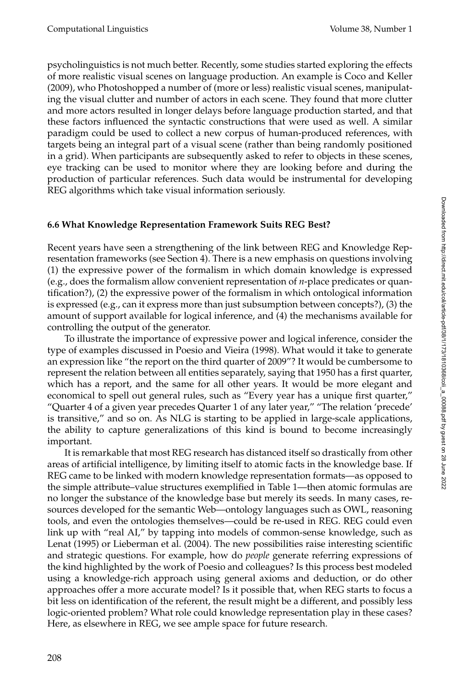psycholinguistics is not much better. Recently, some studies started exploring the effects of more realistic visual scenes on language production. An example is Coco and Keller (2009), who Photoshopped a number of (more or less) realistic visual scenes, manipulating the visual clutter and number of actors in each scene. They found that more clutter and more actors resulted in longer delays before language production started, and that these factors influenced the syntactic constructions that were used as well. A similar paradigm could be used to collect a new corpus of human-produced references, with targets being an integral part of a visual scene (rather than being randomly positioned in a grid). When participants are subsequently asked to refer to objects in these scenes, eye tracking can be used to monitor where they are looking before and during the production of particular references. Such data would be instrumental for developing REG algorithms which take visual information seriously.

#### **6.6 What Knowledge Representation Framework Suits REG Best?**

Recent years have seen a strengthening of the link between REG and Knowledge Representation frameworks (see Section 4). There is a new emphasis on questions involving (1) the expressive power of the formalism in which domain knowledge is expressed (e.g., does the formalism allow convenient representation of *n*-place predicates or quantification?), (2) the expressive power of the formalism in which ontological information is expressed (e.g., can it express more than just subsumption between concepts?), (3) the amount of support available for logical inference, and (4) the mechanisms available for controlling the output of the generator.

To illustrate the importance of expressive power and logical inference, consider the type of examples discussed in Poesio and Vieira (1998). What would it take to generate an expression like "the report on the third quarter of 2009"? It would be cumbersome to represent the relation between all entities separately, saying that 1950 has a first quarter, which has a report, and the same for all other years. It would be more elegant and economical to spell out general rules, such as "Every year has a unique first quarter," "Quarter 4 of a given year precedes Quarter 1 of any later year," "The relation 'precede' is transitive," and so on. As NLG is starting to be applied in large-scale applications, the ability to capture generalizations of this kind is bound to become increasingly important.

It is remarkable that most REG research has distanced itself so drastically from other areas of artificial intelligence, by limiting itself to atomic facts in the knowledge base. If REG came to be linked with modern knowledge representation formats—as opposed to the simple attribute–value structures exemplified in Table 1—then atomic formulas are no longer the substance of the knowledge base but merely its seeds. In many cases, resources developed for the semantic Web—ontology languages such as OWL, reasoning tools, and even the ontologies themselves—could be re-used in REG. REG could even link up with "real AI," by tapping into models of common-sense knowledge, such as Lenat (1995) or Lieberman et al. (2004). The new possibilities raise interesting scientific and strategic questions. For example, how do *people* generate referring expressions of the kind highlighted by the work of Poesio and colleagues? Is this process best modeled using a knowledge-rich approach using general axioms and deduction, or do other approaches offer a more accurate model? Is it possible that, when REG starts to focus a bit less on identification of the referent, the result might be a different, and possibly less logic-oriented problem? What role could knowledge representation play in these cases? Here, as elsewhere in REG, we see ample space for future research.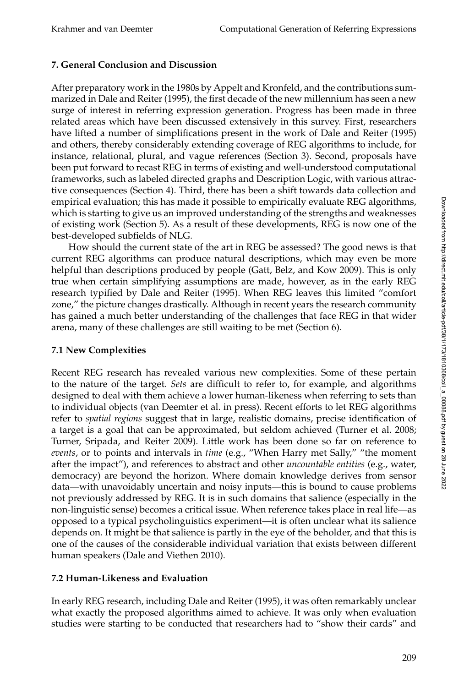#### **7. General Conclusion and Discussion**

After preparatory work in the 1980s by Appelt and Kronfeld, and the contributions summarized in Dale and Reiter (1995), the first decade of the new millennium has seen a new surge of interest in referring expression generation. Progress has been made in three related areas which have been discussed extensively in this survey. First, researchers have lifted a number of simplifications present in the work of Dale and Reiter (1995) and others, thereby considerably extending coverage of REG algorithms to include, for instance, relational, plural, and vague references (Section 3). Second, proposals have been put forward to recast REG in terms of existing and well-understood computational frameworks, such as labeled directed graphs and Description Logic, with various attractive consequences (Section 4). Third, there has been a shift towards data collection and empirical evaluation; this has made it possible to empirically evaluate REG algorithms, which is starting to give us an improved understanding of the strengths and weaknesses of existing work (Section 5). As a result of these developments, REG is now one of the best-developed subfields of NLG.

How should the current state of the art in REG be assessed? The good news is that current REG algorithms can produce natural descriptions, which may even be more helpful than descriptions produced by people (Gatt, Belz, and Kow 2009). This is only true when certain simplifying assumptions are made, however, as in the early REG research typified by Dale and Reiter (1995). When REG leaves this limited "comfort zone," the picture changes drastically. Although in recent years the research community has gained a much better understanding of the challenges that face REG in that wider arena, many of these challenges are still waiting to be met (Section 6).

#### **7.1 New Complexities**

Recent REG research has revealed various new complexities. Some of these pertain to the nature of the target. *Sets* are difficult to refer to, for example, and algorithms designed to deal with them achieve a lower human-likeness when referring to sets than to individual objects (van Deemter et al. in press). Recent efforts to let REG algorithms refer to *spatial regions* suggest that in large, realistic domains, precise identification of a target is a goal that can be approximated, but seldom achieved (Turner et al. 2008; Turner, Sripada, and Reiter 2009). Little work has been done so far on reference to *events*, or to points and intervals in *time* (e.g., "When Harry met Sally," "the moment after the impact"), and references to abstract and other *uncountable entities* (e.g., water, democracy) are beyond the horizon. Where domain knowledge derives from sensor data—with unavoidably uncertain and noisy inputs—this is bound to cause problems not previously addressed by REG. It is in such domains that salience (especially in the non-linguistic sense) becomes a critical issue. When reference takes place in real life—as opposed to a typical psycholinguistics experiment—it is often unclear what its salience depends on. It might be that salience is partly in the eye of the beholder, and that this is one of the causes of the considerable individual variation that exists between different human speakers (Dale and Viethen 2010).

# **7.2 Human-Likeness and Evaluation**

In early REG research, including Dale and Reiter (1995), it was often remarkably unclear what exactly the proposed algorithms aimed to achieve. It was only when evaluation studies were starting to be conducted that researchers had to "show their cards" and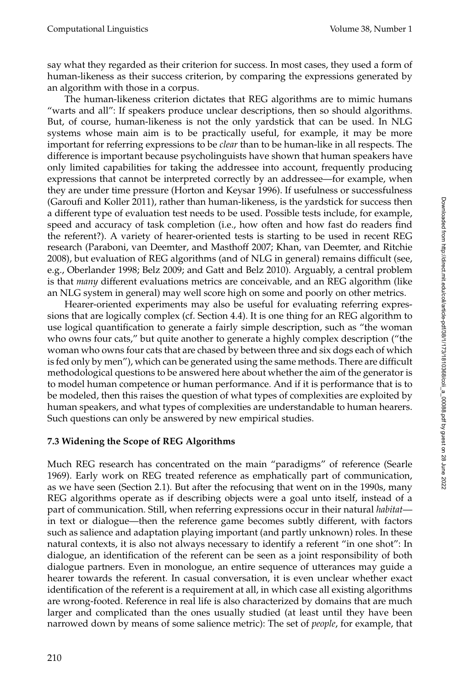say what they regarded as their criterion for success. In most cases, they used a form of human-likeness as their success criterion, by comparing the expressions generated by an algorithm with those in a corpus.

The human-likeness criterion dictates that REG algorithms are to mimic humans "warts and all": If speakers produce unclear descriptions, then so should algorithms. But, of course, human-likeness is not the only yardstick that can be used. In NLG systems whose main aim is to be practically useful, for example, it may be more important for referring expressions to be *clear* than to be human-like in all respects. The difference is important because psycholinguists have shown that human speakers have only limited capabilities for taking the addressee into account, frequently producing expressions that cannot be interpreted correctly by an addressee—for example, when they are under time pressure (Horton and Keysar 1996). If usefulness or successfulness (Garoufi and Koller 2011), rather than human-likeness, is the yardstick for success then a different type of evaluation test needs to be used. Possible tests include, for example, speed and accuracy of task completion (i.e., how often and how fast do readers find the referent?). A variety of hearer-oriented tests is starting to be used in recent REG research (Paraboni, van Deemter, and Masthoff 2007; Khan, van Deemter, and Ritchie 2008), but evaluation of REG algorithms (and of NLG in general) remains difficult (see, e.g., Oberlander 1998; Belz 2009; and Gatt and Belz 2010). Arguably, a central problem is that *many* different evaluations metrics are conceivable, and an REG algorithm (like an NLG system in general) may well score high on some and poorly on other metrics.

Hearer-oriented experiments may also be useful for evaluating referring expressions that are logically complex (cf. Section 4.4). It is one thing for an REG algorithm to use logical quantification to generate a fairly simple description, such as "the woman who owns four cats," but quite another to generate a highly complex description ("the woman who owns four cats that are chased by between three and six dogs each of which is fed only by men"), which can be generated using the same methods. There are difficult methodological questions to be answered here about whether the aim of the generator is to model human competence or human performance. And if it is performance that is to be modeled, then this raises the question of what types of complexities are exploited by human speakers, and what types of complexities are understandable to human hearers. Such questions can only be answered by new empirical studies.

# **7.3 Widening the Scope of REG Algorithms**

Much REG research has concentrated on the main "paradigms" of reference (Searle 1969). Early work on REG treated reference as emphatically part of communication, as we have seen (Section 2.1). But after the refocusing that went on in the 1990s, many REG algorithms operate as if describing objects were a goal unto itself, instead of a part of communication. Still, when referring expressions occur in their natural *habitat* in text or dialogue—then the reference game becomes subtly different, with factors such as salience and adaptation playing important (and partly unknown) roles. In these natural contexts, it is also not always necessary to identify a referent "in one shot": In dialogue, an identification of the referent can be seen as a joint responsibility of both dialogue partners. Even in monologue, an entire sequence of utterances may guide a hearer towards the referent. In casual conversation, it is even unclear whether exact identification of the referent is a requirement at all, in which case all existing algorithms are wrong-footed. Reference in real life is also characterized by domains that are much larger and complicated than the ones usually studied (at least until they have been narrowed down by means of some salience metric): The set of *people*, for example, that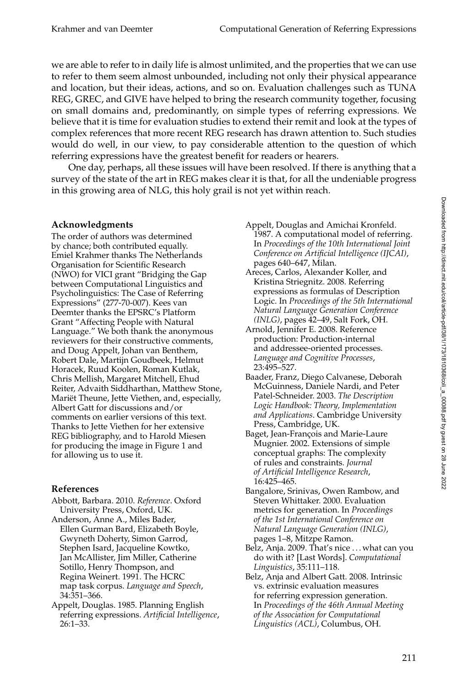we are able to refer to in daily life is almost unlimited, and the properties that we can use to refer to them seem almost unbounded, including not only their physical appearance and location, but their ideas, actions, and so on. Evaluation challenges such as TUNA REG, GREC, and GIVE have helped to bring the research community together, focusing on small domains and, predominantly, on simple types of referring expressions. We believe that it is time for evaluation studies to extend their remit and look at the types of complex references that more recent REG research has drawn attention to. Such studies would do well, in our view, to pay considerable attention to the question of which referring expressions have the greatest benefit for readers or hearers.

One day, perhaps, all these issues will have been resolved. If there is anything that a survey of the state of the art in REG makes clear it is that, for all the undeniable progress in this growing area of NLG, this holy grail is not yet within reach.

#### **Acknowledgments**

The order of authors was determined by chance; both contributed equally. Emiel Krahmer thanks The Netherlands Organisation for Scientific Research (NWO) for VICI grant "Bridging the Gap between Computational Linguistics and Psycholinguistics: The Case of Referring Expressions" (277-70-007). Kees van Deemter thanks the EPSRC's Platform Grant "Affecting People with Natural Language." We both thank the anonymous reviewers for their constructive comments, and Doug Appelt, Johan van Benthem, Robert Dale, Martijn Goudbeek, Helmut Horacek, Ruud Koolen, Roman Kutlak, Chris Mellish, Margaret Mitchell, Ehud Reiter, Advaith Siddharthan, Matthew Stone, Mariët Theune, Jette Viethen, and, especially, Albert Gatt for discussions and/or comments on earlier versions of this text. Thanks to Jette Viethen for her extensive REG bibliography, and to Harold Miesen for producing the image in Figure 1 and for allowing us to use it.

#### **References**

- Abbott, Barbara. 2010. *Reference*. Oxford University Press, Oxford, UK.
- Anderson, Anne A., Miles Bader, Ellen Gurman Bard, Elizabeth Boyle, Gwyneth Doherty, Simon Garrod, Stephen Isard, Jacqueline Kowtko, Jan McAllister, Jim Miller, Catherine Sotillo, Henry Thompson, and Regina Weinert. 1991. The HCRC map task corpus. *Language and Speech*, 34:351–366.
- Appelt, Douglas. 1985. Planning English referring expressions. *Artificial Intelligence*, 26:1–33.
- Appelt, Douglas and Amichai Kronfeld. 1987. A computational model of referring. In *Proceedings of the 10th International Joint Conference on Artificial Intelligence (IJCAI)*, pages 640–647, Milan.
- Areces, Carlos, Alexander Koller, and Kristina Striegnitz. 2008. Referring expressions as formulas of Description Logic. In *Proceedings of the 5th International Natural Language Generation Conference (INLG)*, pages 42–49, Salt Fork, OH.
- Arnold, Jennifer E. 2008. Reference production: Production-internal and addressee-oriented processes. *Language and Cognitive Processes*, 23:495–527.
- Baader, Franz, Diego Calvanese, Deborah McGuinness, Daniele Nardi, and Peter Patel-Schneider. 2003. *The Description Logic Handbook: Theory, Implementation and Applications*. Cambridge University Press, Cambridge, UK.
- Baget, Jean-François and Marie-Laure Mugnier. 2002. Extensions of simple conceptual graphs: The complexity of rules and constraints. *Journal of Artificial Intelligence Research*, 16:425–465.
- Bangalore, Srinivas, Owen Rambow, and Steven Whittaker. 2000. Evaluation metrics for generation. In *Proceedings of the 1st International Conference on Natural Language Generation (INLG)*, pages 1–8, Mitzpe Ramon.
- Belz, Anja. 2009. That's nice . . . what can you do with it? [Last Words]. *Computational Linguistics*, 35:111–118.
- Belz, Anja and Albert Gatt. 2008. Intrinsic vs. extrinsic evaluation measures for referring expression generation. In *Proceedings of the 46th Annual Meeting of the Association for Computational Linguistics (ACL)*, Columbus, OH.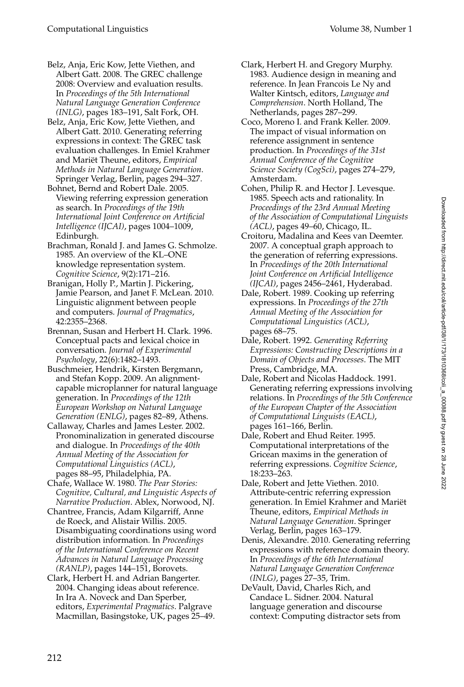- Belz, Anja, Eric Kow, Jette Viethen, and Albert Gatt. 2008. The GREC challenge 2008: Overview and evaluation results. In *Proceedings of the 5th International Natural Language Generation Conference (INLG)*, pages 183–191, Salt Fork, OH.
- Belz, Anja, Eric Kow, Jette Viethen, and Albert Gatt. 2010. Generating referring expressions in context: The GREC task evaluation challenges. In Emiel Krahmer and Mariët Theune, editors, *Empirical Methods in Natural Language Generation*. Springer Verlag, Berlin, pages 294–327.
- Bohnet, Bernd and Robert Dale. 2005. Viewing referring expression generation as search. In *Proceedings of the 19th International Joint Conference on Artificial Intelligence (IJCAI)*, pages 1004–1009, Edinburgh.
- Brachman, Ronald J. and James G. Schmolze. 1985. An overview of the KL–ONE knowledge representation system. *Cognitive Science*, 9(2):171–216.
- Branigan, Holly P., Martin J. Pickering, Jamie Pearson, and Janet F. McLean. 2010. Linguistic alignment between people and computers. *Journal of Pragmatics*, 42:2355–2368.
- Brennan, Susan and Herbert H. Clark. 1996. Conceptual pacts and lexical choice in conversation. *Journal of Experimental Psychology*, 22(6):1482–1493.
- Buschmeier, Hendrik, Kirsten Bergmann, and Stefan Kopp. 2009. An alignmentcapable microplanner for natural language generation. In *Proceedings of the 12th European Workshop on Natural Language Generation (ENLG)*, pages 82–89, Athens.
- Callaway, Charles and James Lester. 2002. Pronominalization in generated discourse and dialogue. In *Proceedings of the 40th Annual Meeting of the Association for Computational Linguistics (ACL)*, pages 88–95, Philadelphia, PA.
- Chafe, Wallace W. 1980. *The Pear Stories: Cognitive, Cultural, and Linguistic Aspects of Narrative Production*. Ablex, Norwood, NJ.
- Chantree, Francis, Adam Kilgarriff, Anne de Roeck, and Alistair Willis. 2005. Disambiguating coordinations using word distribution information. In *Proceedings of the International Conference on Recent Advances in Natural Language Processing (RANLP)*, pages 144–151, Borovets.
- Clark, Herbert H. and Adrian Bangerter. 2004. Changing ideas about reference. In Ira A. Noveck and Dan Sperber, editors, *Experimental Pragmatics*. Palgrave Macmillan, Basingstoke, UK, pages 25–49.
- Clark, Herbert H. and Gregory Murphy. 1983. Audience design in meaning and reference. In Jean Francois Le Ny and Walter Kintsch, editors, *Language and Comprehension*. North Holland, The Netherlands, pages 287–299.
- Coco, Moreno I. and Frank Keller. 2009. The impact of visual information on reference assignment in sentence production. In *Proceedings of the 31st Annual Conference of the Cognitive Science Society (CogSci)*, pages 274–279, Amsterdam.
- Cohen, Philip R. and Hector J. Levesque. 1985. Speech acts and rationality. In *Proceedings of the 23rd Annual Meeting of the Association of Computational Linguists (ACL)*, pages 49–60, Chicago, IL.
- Croitoru, Madalina and Kees van Deemter. 2007. A conceptual graph approach to the generation of referring expressions. In *Proceedings of the 20th International Joint Conference on Artificial Intelligence (IJCAI)*, pages 2456–2461, Hyderabad.
- Dale, Robert. 1989. Cooking up referring expressions. In *Proceedings of the 27th Annual Meeting of the Association for Computational Linguistics (ACL)*, pages 68–75.
- Dale, Robert. 1992. *Generating Referring Expressions: Constructing Descriptions in a Domain of Objects and Processes*. The MIT Press, Cambridge, MA.
- Dale, Robert and Nicolas Haddock. 1991. Generating referring expressions involving relations. In *Proceedings of the 5th Conference of the European Chapter of the Association of Computational Linguists (EACL)*, pages 161–166, Berlin.
- Dale, Robert and Ehud Reiter. 1995. Computational interpretations of the Gricean maxims in the generation of referring expressions. *Cognitive Science*, 18:233–263.
- Dale, Robert and Jette Viethen. 2010. Attribute-centric referring expression generation. In Emiel Krahmer and Mariët Theune, editors, *Empirical Methods in Natural Language Generation*. Springer Verlag, Berlin, pages 163–179.
- Denis, Alexandre. 2010. Generating referring expressions with reference domain theory. In *Proceedings of the 6th International Natural Language Generation Conference (INLG)*, pages 27–35, Trim.
- DeVault, David, Charles Rich, and Candace L. Sidner. 2004. Natural language generation and discourse context: Computing distractor sets from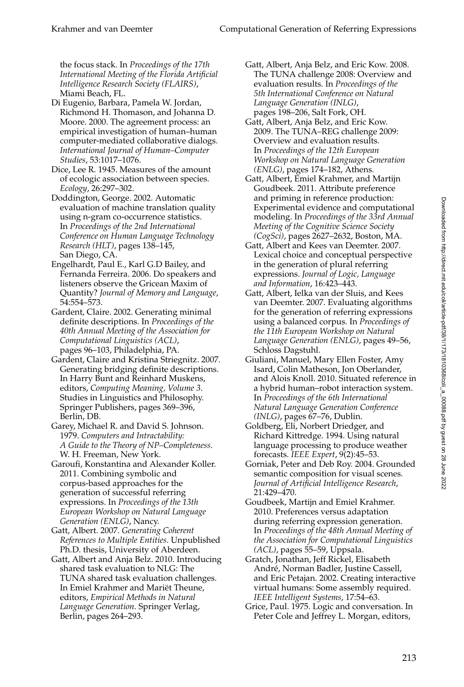the focus stack. In *Proceedings of the 17th International Meeting of the Florida Artificial Intelligence Research Society (FLAIRS)*, Miami Beach, FL.

- Di Eugenio, Barbara, Pamela W. Jordan, Richmond H. Thomason, and Johanna D. Moore. 2000. The agreement process: an empirical investigation of human–human computer-mediated collaborative dialogs. *International Journal of Human–Computer Studies*, 53:1017–1076.
- Dice, Lee R. 1945. Measures of the amount of ecologic association between species. *Ecology*, 26:297–302.

Doddington, George. 2002. Automatic evaluation of machine translation quality using n-gram co-occurrence statistics. In *Proceedings of the 2nd International Conference on Human Language Technology Research (HLT)*, pages 138–145, San Diego, CA.

- Engelhardt, Paul E., Karl G.D Bailey, and Fernanda Ferreira. 2006. Do speakers and listeners observe the Gricean Maxim of Quantity? *Journal of Memory and Language*, 54:554–573.
- Gardent, Claire. 2002. Generating minimal definite descriptions. In *Proceedings of the 40th Annual Meeting of the Association for Computational Linguistics (ACL)*, pages 96–103, Philadelphia, PA.
- Gardent, Claire and Kristina Striegnitz. 2007. Generating bridging definite descriptions. In Harry Bunt and Reinhard Muskens, editors, *Computing Meaning, Volume 3*. Studies in Linguistics and Philosophy. Springer Publishers, pages 369–396, Berlin, DB.
- Garey, Michael R. and David S. Johnson. 1979. *Computers and Intractability: A Guide to the Theory of NP–Completeness*. W. H. Freeman, New York.
- Garoufi, Konstantina and Alexander Koller. 2011. Combining symbolic and corpus-based approaches for the generation of successful referring expressions. In *Proceedings of the 13th European Workshop on Natural Language Generation (ENLG)*, Nancy.
- Gatt, Albert. 2007. *Generating Coherent References to Multiple Entities*. Unpublished Ph.D. thesis, University of Aberdeen.
- Gatt, Albert and Anja Belz. 2010. Introducing shared task evaluation to NLG: The TUNA shared task evaluation challenges. In Emiel Krahmer and Mariët Theune, editors, *Empirical Methods in Natural Language Generation*. Springer Verlag, Berlin, pages 264–293.
- Gatt, Albert, Anja Belz, and Eric Kow. 2008. The TUNA challenge 2008: Overview and evaluation results. In *Proceedings of the 5th International Conference on Natural Language Generation (INLG)*, pages 198–206, Salt Fork, OH.
- Gatt, Albert, Anja Belz, and Eric Kow. 2009. The TUNA–REG challenge 2009: Overview and evaluation results. In *Proceedings of the 12th European Workshop on Natural Language Generation (ENLG)*, pages 174–182, Athens.
- Gatt, Albert, Emiel Krahmer, and Martijn Goudbeek. 2011. Attribute preference and priming in reference production: Experimental evidence and computational modeling. In *Proceedings of the 33rd Annual Meeting of the Cognitive Science Society (CogSci)*, pages 2627–2632, Boston, MA.
- Gatt, Albert and Kees van Deemter. 2007. Lexical choice and conceptual perspective in the generation of plural referring expressions. *Journal of Logic, Language and Information*, 16:423–443.
- Gatt, Albert, Ielka van der Sluis, and Kees van Deemter. 2007. Evaluating algorithms for the generation of referring expressions using a balanced corpus. In *Proceedings of the 11th European Workshop on Natural Language Generation (ENLG)*, pages 49–56, Schloss Dagstuhl.
- Giuliani, Manuel, Mary Ellen Foster, Amy Isard, Colin Matheson, Jon Oberlander, and Alois Knoll. 2010. Situated reference in a hybrid human–robot interaction system. In *Proceedings of the 6th International Natural Language Generation Conference (INLG)*, pages 67–76, Dublin.
- Goldberg, Eli, Norbert Driedger, and Richard Kittredge. 1994. Using natural language processing to produce weather forecasts. *IEEE Expert*, 9(2):45–53.
- Gorniak, Peter and Deb Roy. 2004. Grounded semantic composition for visual scenes. *Journal of Artificial Intelligence Research*, 21:429–470.
- Goudbeek, Martijn and Emiel Krahmer. 2010. Preferences versus adaptation during referring expression generation. In *Proceedings of the 48th Annual Meeting of the Association for Computational Linguistics (ACL)*, pages 55–59, Uppsala.
- Gratch, Jonathan, Jeff Rickel, Elisabeth Andre, Norman Badler, Justine Cassell, ´ and Eric Petajan. 2002. Creating interactive virtual humans: Some assembly required. *IEEE Intelligent Systems*, 17:54–63.
- Grice, Paul. 1975. Logic and conversation. In Peter Cole and Jeffrey L. Morgan, editors,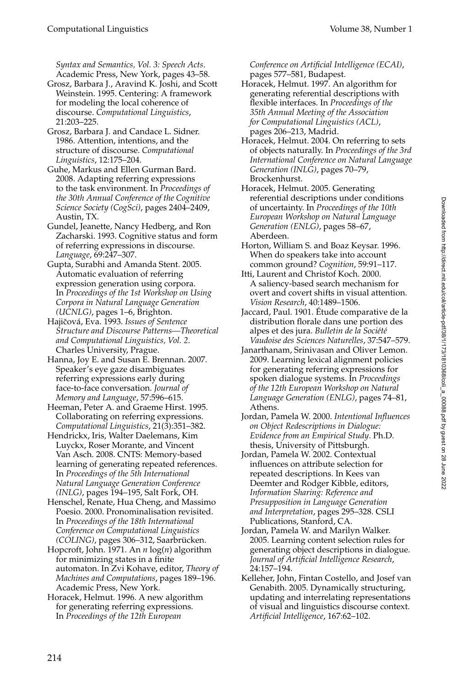*Syntax and Semantics, Vol. 3: Speech Acts*. Academic Press, New York, pages 43–58.

- Grosz, Barbara J., Aravind K. Joshi, and Scott Weinstein. 1995. Centering: A framework for modeling the local coherence of discourse. *Computational Linguistics*, 21:203–225.
- Grosz, Barbara J. and Candace L. Sidner. 1986. Attention, intentions, and the structure of discourse. *Computational Linguistics*, 12:175–204.
- Guhe, Markus and Ellen Gurman Bard. 2008. Adapting referring expressions to the task environment. In *Proceedings of the 30th Annual Conference of the Cognitive Science Society (CogSci)*, pages 2404–2409, Austin, TX.
- Gundel, Jeanette, Nancy Hedberg, and Ron Zacharski. 1993. Cognitive status and form of referring expressions in discourse. *Language*, 69:247–307.
- Gupta, Surabhi and Amanda Stent. 2005. Automatic evaluation of referring expression generation using corpora. In *Proceedings of the 1st Workshop on Using Corpora in Natural Language Generation (UCNLG)*, pages 1–6, Brighton.

Hajičová, Eva. 1993. Issues of Sentence *Structure and Discourse Patterns—Theoretical and Computational Linguistics, Vol. 2*. Charles University, Prague.

- Hanna, Joy E. and Susan E. Brennan. 2007. Speaker's eye gaze disambiguates referring expressions early during face-to-face conversation. *Journal of Memory and Language*, 57:596–615.
- Heeman, Peter A. and Graeme Hirst. 1995. Collaborating on referring expressions. *Computational Linguistics*, 21(3):351–382.
- Hendrickx, Iris, Walter Daelemans, Kim Luyckx, Roser Morante, and Vincent Van Asch. 2008. CNTS: Memory-based learning of generating repeated references. In *Proceedings of the 5th International Natural Language Generation Conference (INLG)*, pages 194–195, Salt Fork, OH.

Henschel, Renate, Hua Cheng, and Massimo Poesio. 2000. Pronominalisation revisited. In *Proceedings of the 18th International Conference on Computational Linguistics (COLING)*, pages 306–312, Saarbrucken. ¨

- Hopcroft, John. 1971. An *n* log(*n*) algorithm for minimizing states in a finite automaton. In Zvi Kohave, editor, *Theory of Machines and Computations*, pages 189–196. Academic Press, New York.
- Horacek, Helmut. 1996. A new algorithm for generating referring expressions. In *Proceedings of the 12th European*

*Conference on Artificial Intelligence (ECAI)*, pages 577–581, Budapest.

- Horacek, Helmut. 1997. An algorithm for generating referential descriptions with flexible interfaces. In *Proceedings of the 35th Annual Meeting of the Association for Computational Linguistics (ACL)*, pages 206–213, Madrid.
- Horacek, Helmut. 2004. On referring to sets of objects naturally. In *Proceedings of the 3rd International Conference on Natural Language Generation (INLG)*, pages 70–79, Brockenhurst.
- Horacek, Helmut. 2005. Generating referential descriptions under conditions of uncertainty. In *Proceedings of the 10th European Workshop on Natural Language Generation (ENLG)*, pages 58–67, Aberdeen.
- Horton, William S. and Boaz Keysar. 1996. When do speakers take into account common ground? *Cognition*, 59:91–117.
- Itti, Laurent and Christof Koch. 2000. A saliency-based search mechanism for overt and covert shifts in visual attention. *Vision Research*, 40:1489–1506.
- Jaccard, Paul. 1901. Etude comparative de la ´ distribution florale dans une portion des alpes et des jura. *Bulletin de la Société Vaudoise des Sciences Naturelles*, 37:547–579.
- Janarthanam, Srinivasan and Oliver Lemon. 2009. Learning lexical alignment policies for generating referring expressions for spoken dialogue systems. In *Proceedings of the 12th European Workshop on Natural Language Generation (ENLG)*, pages 74–81, Athens.
- Jordan, Pamela W. 2000. *Intentional Influences on Object Redescriptions in Dialogue: Evidence from an Empirical Study*. Ph.D. thesis, University of Pittsburgh.
- Jordan, Pamela W. 2002. Contextual influences on attribute selection for repeated descriptions. In Kees van Deemter and Rodger Kibble, editors, *Information Sharing: Reference and Presupposition in Language Generation and Interpretation*, pages 295–328. CSLI Publications, Stanford, CA.
- Jordan, Pamela W. and Marilyn Walker. 2005. Learning content selection rules for generating object descriptions in dialogue. *Journal of Artificial Intelligence Research*, 24:157–194.
- Kelleher, John, Fintan Costello, and Josef van Genabith. 2005. Dynamically structuring, updating and interrelating representations of visual and linguistics discourse context. *Artificial Intelligence*, 167:62–102.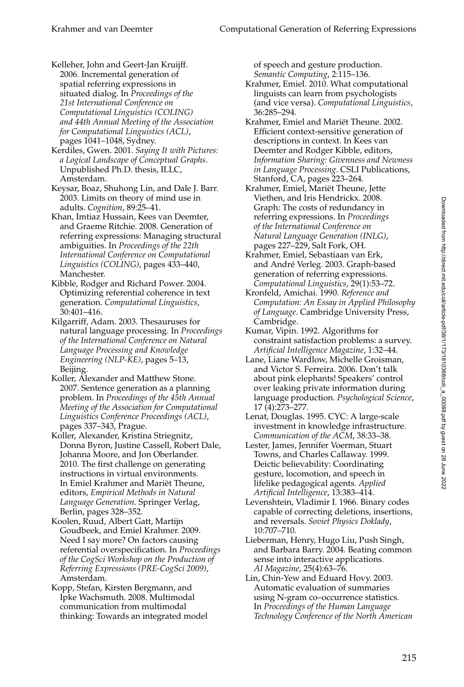Kelleher, John and Geert-Jan Kruijff. 2006. Incremental generation of spatial referring expressions in situated dialog. In *Proceedings of the 21st International Conference on Computational Linguistics (COLING) and 44th Annual Meeting of the Association for Computational Linguistics (ACL)*, pages 1041–1048, Sydney.

Kerdiles, Gwen. 2001. *Saying It with Pictures: a Logical Landscape of Conceptual Graphs*. Unpublished Ph.D. thesis, ILLC, Amsterdam.

Keysar, Boaz, Shuhong Lin, and Dale J. Barr. 2003. Limits on theory of mind use in adults. *Cognition*, 89:25–41.

Khan, Imtiaz Hussain, Kees van Deemter, and Graeme Ritchie. 2008. Generation of referring expressions: Managing structural ambiguities. In *Proceedings of the 22th International Conference on Computational Linguistics (COLING)*, pages 433–440, Manchester.

Kibble, Rodger and Richard Power. 2004. Optimizing referential coherence in text generation. *Computational Linguistics*, 30:401–416.

Kilgarriff, Adam. 2003. Thesauruses for natural language processing. In *Proceedings of the International Conference on Natural Language Processing and Knowledge Engineering (NLP-KE)*, pages 5–13, Beijing.

Koller, Alexander and Matthew Stone. 2007. Sentence generation as a planning problem. In *Proceedings of the 45th Annual Meeting of the Association for Computational Linguistics Conference Proceedings (ACL)*, pages 337–343, Prague.

Koller, Alexander, Kristina Striegnitz, Donna Byron, Justine Cassell, Robert Dale, Johanna Moore, and Jon Oberlander. 2010. The first challenge on generating instructions in virtual environments. In Emiel Krahmer and Mariët Theune, editors, *Empirical Methods in Natural Language Generation*. Springer Verlag, Berlin, pages 328–352.

Koolen, Ruud, Albert Gatt, Martijn Goudbeek, and Emiel Krahmer. 2009. Need I say more? On factors causing referential overspecification. In *Proceedings of the CogSci Workshop on the Production of Referring Expressions (PRE-CogSci 2009)*, Amsterdam.

Kopp, Stefan, Kirsten Bergmann, and Ipke Wachsmuth. 2008. Multimodal communication from multimodal thinking: Towards an integrated model of speech and gesture production. *Semantic Computing*, 2:115–136.

- Krahmer, Emiel. 2010. What computational linguists can learn from psychologists (and vice versa). *Computational Linguistics*, 36:285–294.
- Krahmer, Emiel and Mariët Theune. 2002. Efficient context-sensitive generation of descriptions in context. In Kees van Deemter and Rodger Kibble, editors, *Information Sharing: Givenness and Newness in Language Processing*. CSLI Publications, Stanford, CA, pages 223–264.
- Krahmer, Emiel, Mariet Theune, Jette ¨ Viethen, and Iris Hendrickx. 2008. Graph: The costs of redundancy in referring expressions. In *Proceedings of the International Conference on Natural Language Generation (INLG)*, pages 227–229, Salt Fork, OH.
- Krahmer, Emiel, Sebastiaan van Erk, and Andre Verleg. 2003. Graph-based ´ generation of referring expressions. *Computational Linguistics*, 29(1):53–72.
- Kronfeld, Amichai. 1990. *Reference and Computation: An Essay in Applied Philosophy of Language*. Cambridge University Press, Cambridge.
- Kumar, Vipin. 1992. Algorithms for constraint satisfaction problems: a survey. *Artificial Intelligence Magazine*, 1:32–44.
- Lane, Liane Wardlow, Michelle Groisman, and Victor S. Ferreira. 2006. Don't talk about pink elephants! Speakers' control over leaking private information during language production. *Psychological Science*, 17 (4):273–277.
- Lenat, Douglas. 1995. CYC: A large-scale investment in knowledge infrastructure. *Communication of the ACM*, 38:33–38.
- Lester, James, Jennifer Voerman, Stuart Towns, and Charles Callaway. 1999. Deictic believability: Coordinating gesture, locomotion, and speech in lifelike pedagogical agents. *Applied Artificial Intelligence*, 13:383–414.
- Levenshtein, Vladimir I. 1966. Binary codes capable of correcting deletions, insertions, and reversals. *Soviet Physics Doklady*, 10:707–710.
- Lieberman, Henry, Hugo Liu, Push Singh, and Barbara Barry. 2004. Beating common sense into interactive applications. *AI Magazine*, 25(4):63–76.
- Lin, Chin-Yew and Eduard Hovy. 2003. Automatic evaluation of summaries using N-gram co–occurrence statistics. In *Proceedings of the Human Language Technology Conference of the North American*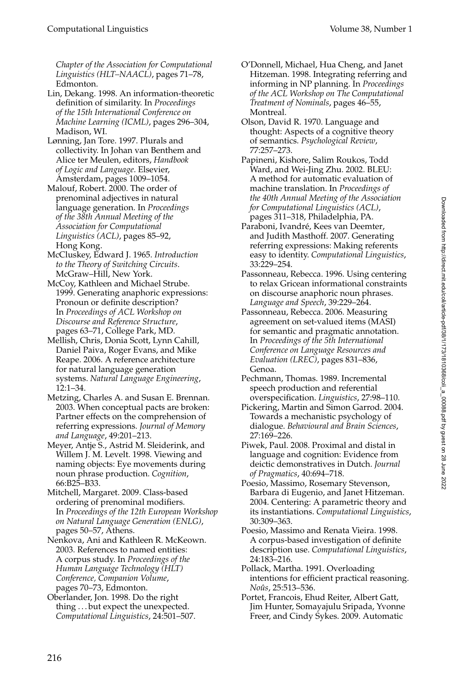*Chapter of the Association for Computational Linguistics (HLT–NAACL)*, pages 71–78, Edmonton.

- Lin, Dekang. 1998. An information-theoretic definition of similarity. In *Proceedings of the 15th International Conference on Machine Learning (ICML)*, pages 296–304, Madison, WI.
- Lønning, Jan Tore. 1997. Plurals and collectivity. In Johan van Benthem and Alice ter Meulen, editors, *Handbook of Logic and Language*. Elsevier, Amsterdam, pages 1009–1054.
- Malouf, Robert. 2000. The order of prenominal adjectives in natural language generation. In *Proceedings of the 38th Annual Meeting of the Association for Computational Linguistics (ACL)*, pages 85–92, Hong Kong.
- McCluskey, Edward J. 1965. *Introduction to the Theory of Switching Circuits*. McGraw–Hill, New York.
- McCoy, Kathleen and Michael Strube. 1999. Generating anaphoric expressions: Pronoun or definite description? In *Proceedings of ACL Workshop on Discourse and Reference Structure*, pages 63–71, College Park, MD.
- Mellish, Chris, Donia Scott, Lynn Cahill, Daniel Paiva, Roger Evans, and Mike Reape. 2006. A reference architecture for natural language generation systems. *Natural Language Engineering*, 12:1–34.
- Metzing, Charles A. and Susan E. Brennan. 2003. When conceptual pacts are broken: Partner effects on the comprehension of referring expressions. *Journal of Memory and Language*, 49:201–213.
- Meyer, Antje S., Astrid M. Sleiderink, and Willem J. M. Levelt. 1998. Viewing and naming objects: Eye movements during noun phrase production. *Cognition*, 66:B25–B33.
- Mitchell, Margaret. 2009. Class-based ordering of prenominal modifiers. In *Proceedings of the 12th European Workshop on Natural Language Generation (ENLG)*, pages 50–57, Athens.
- Nenkova, Ani and Kathleen R. McKeown. 2003. References to named entities: A corpus study. In *Proceedings of the Human Language Technology (HLT) Conference, Companion Volume*, pages 70–73, Edmonton.
- Oberlander, Jon. 1998. Do the right thing . . . but expect the unexpected. *Computational Linguistics*, 24:501–507.
- O'Donnell, Michael, Hua Cheng, and Janet Hitzeman. 1998. Integrating referring and informing in NP planning. In *Proceedings of the ACL Workshop on The Computational Treatment of Nominals*, pages 46–55, Montreal.
- Olson, David R. 1970. Language and thought: Aspects of a cognitive theory of semantics. *Psychological Review*, 77:257–273.
- Papineni, Kishore, Salim Roukos, Todd Ward, and Wei-Jing Zhu. 2002. BLEU: A method for automatic evaluation of machine translation. In *Proceedings of the 40th Annual Meeting of the Association for Computational Linguistics (ACL)*, pages 311–318, Philadelphia, PA.
- Paraboni, Ivandré, Kees van Deemter, and Judith Masthoff. 2007. Generating referring expressions: Making referents easy to identity. *Computational Linguistics*, 33:229–254.
- Passonneau, Rebecca. 1996. Using centering to relax Gricean informational constraints on discourse anaphoric noun phrases. *Language and Speech*, 39:229–264.
- Passonneau, Rebecca. 2006. Measuring agreement on set-valued items (MASI) for semantic and pragmatic annotation. In *Proceedings of the 5th International Conference on Language Resources and Evaluation (LREC)*, pages 831–836, Genoa.
- Pechmann, Thomas. 1989. Incremental speech production and referential overspecification. *Linguistics*, 27:98–110.
- Pickering, Martin and Simon Garrod. 2004. Towards a mechanistic psychology of dialogue. *Behavioural and Brain Sciences*, 27:169–226.
- Piwek, Paul. 2008. Proximal and distal in language and cognition: Evidence from deictic demonstratives in Dutch. *Journal of Pragmatics*, 40:694–718.
- Poesio, Massimo, Rosemary Stevenson, Barbara di Eugenio, and Janet Hitzeman. 2004. Centering: A parametric theory and its instantiations. *Computational Linguistics*, 30:309–363.
- Poesio, Massimo and Renata Vieira. 1998. A corpus-based investigation of definite description use. *Computational Linguistics*, 24:183–216.
- Pollack, Martha. 1991. Overloading intentions for efficient practical reasoning. *Noˆus*, 25:513–536.
- Portet, Francois, Ehud Reiter, Albert Gatt, Jim Hunter, Somayajulu Sripada, Yvonne Freer, and Cindy Sykes. 2009. Automatic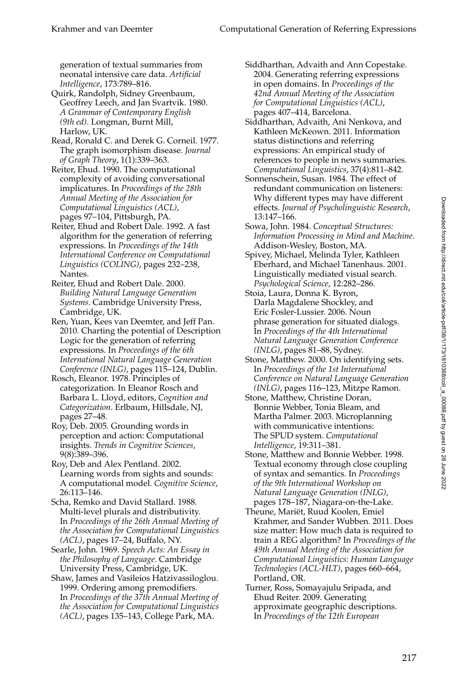generation of textual summaries from neonatal intensive care data. *Artificial Intelligence*, 173:789–816.

Quirk, Randolph, Sidney Greenbaum, Geoffrey Leech, and Jan Svartvik. 1980. *A Grammar of Contemporary English (9th ed)*. Longman, Burnt Mill, Harlow, UK.

Read, Ronald C. and Derek G. Corneil. 1977. The graph isomorphism disease. *Journal of Graph Theory*, 1(1):339–363.

Reiter, Ehud. 1990. The computational complexity of avoiding conversational implicatures. In *Proceedings of the 28th Annual Meeting of the Association for Computational Linguistics (ACL)*, pages 97–104, Pittsburgh, PA.

Reiter, Ehud and Robert Dale. 1992. A fast algorithm for the generation of referring expressions. In *Proceedings of the 14th International Conference on Computational Linguistics (COLING)*, pages 232–238, Nantes.

Reiter, Ehud and Robert Dale. 2000. *Building Natural Language Generation Systems*. Cambridge University Press, Cambridge, UK.

Ren, Yuan, Kees van Deemter, and Jeff Pan. 2010. Charting the potential of Description Logic for the generation of referring expressions. In *Proceedings of the 6th International Natural Language Generation Conference (INLG)*, pages 115–124, Dublin.

Rosch, Eleanor. 1978. Principles of categorization. In Eleanor Rosch and Barbara L. Lloyd, editors, *Cognition and Categorization*. Erlbaum, Hillsdale, NJ, pages 27–48.

Roy, Deb. 2005. Grounding words in perception and action: Computational insights. *Trends in Cognitive Sciences*, 9(8):389–396.

Roy, Deb and Alex Pentland. 2002. Learning words from sights and sounds: A computational model. *Cognitive Science*, 26:113–146.

Scha, Remko and David Stallard. 1988. Multi-level plurals and distributivity. In *Proceedings of the 26th Annual Meeting of the Association for Computational Linguistics (ACL)*, pages 17–24, Buffalo, NY.

Searle, John. 1969. *Speech Acts: An Essay in the Philosophy of Language*. Cambridge University Press, Cambridge, UK.

Shaw, James and Vasileios Hatzivassiloglou. 1999. Ordering among premodifiers. In *Proceedings of the 37th Annual Meeting of the Association for Computational Linguistics (ACL)*, pages 135–143, College Park, MA.

Siddharthan, Advaith and Ann Copestake. 2004. Generating referring expressions in open domains. In *Proceedings of the 42nd Annual Meeting of the Association for Computational Linguistics (ACL)*, pages 407–414, Barcelona.

Siddharthan, Advaith, Ani Nenkova, and Kathleen McKeown. 2011. Information status distinctions and referring expressions: An empirical study of references to people in news summaries. *Computational Linguistics*, 37(4):811–842.

Sonnenschein, Susan. 1984. The effect of redundant communication on listeners: Why different types may have different effects. *Journal of Psycholinguistic Research*, 13:147–166.

Sowa, John. 1984. *Conceptual Structures: Information Processing in Mind and Machine*. Addison-Wesley, Boston, MA.

Spivey, Michael, Melinda Tyler, Kathleen Eberhard, and Michael Tanenhaus. 2001. Linguistically mediated visual search. *Psychological Science*, 12:282–286.

Stoia, Laura, Donna K. Byron, Darla Magdalene Shockley, and Eric Fosler-Lussier. 2006. Noun phrase generation for situated dialogs. In *Proceedings of the 4th International Natural Language Generation Conference (INLG)*, pages 81–88, Sydney.

Stone, Matthew. 2000. On identifying sets. In *Proceedings of the 1st International Conference on Natural Language Generation (INLG)*, pages 116–123, Mitzpe Ramon.

Stone, Matthew, Christine Doran, Bonnie Webber, Tonia Bleam, and Martha Palmer. 2003. Microplanning with communicative intentions: The SPUD system. *Computational Intelligence*, 19:311–381.

Stone, Matthew and Bonnie Webber. 1998. Textual economy through close coupling of syntax and semantics. In *Proceedings of the 9th International Workshop on Natural Language Generation (INLG)*, pages 178–187, Niagara-on-the-Lake.

Theune, Mariët, Ruud Koolen, Emiel Krahmer, and Sander Wubben. 2011. Does size matter: How much data is required to train a REG algorithm? In *Proceedings of the 49th Annual Meeting of the Association for Computational Linguistics: Human Language Technologies (ACL-HLT)*, pages 660–664, Portland, OR.

Turner, Ross, Somayajulu Sripada, and Ehud Reiter. 2009. Generating approximate geographic descriptions. In *Proceedings of the 12th European*